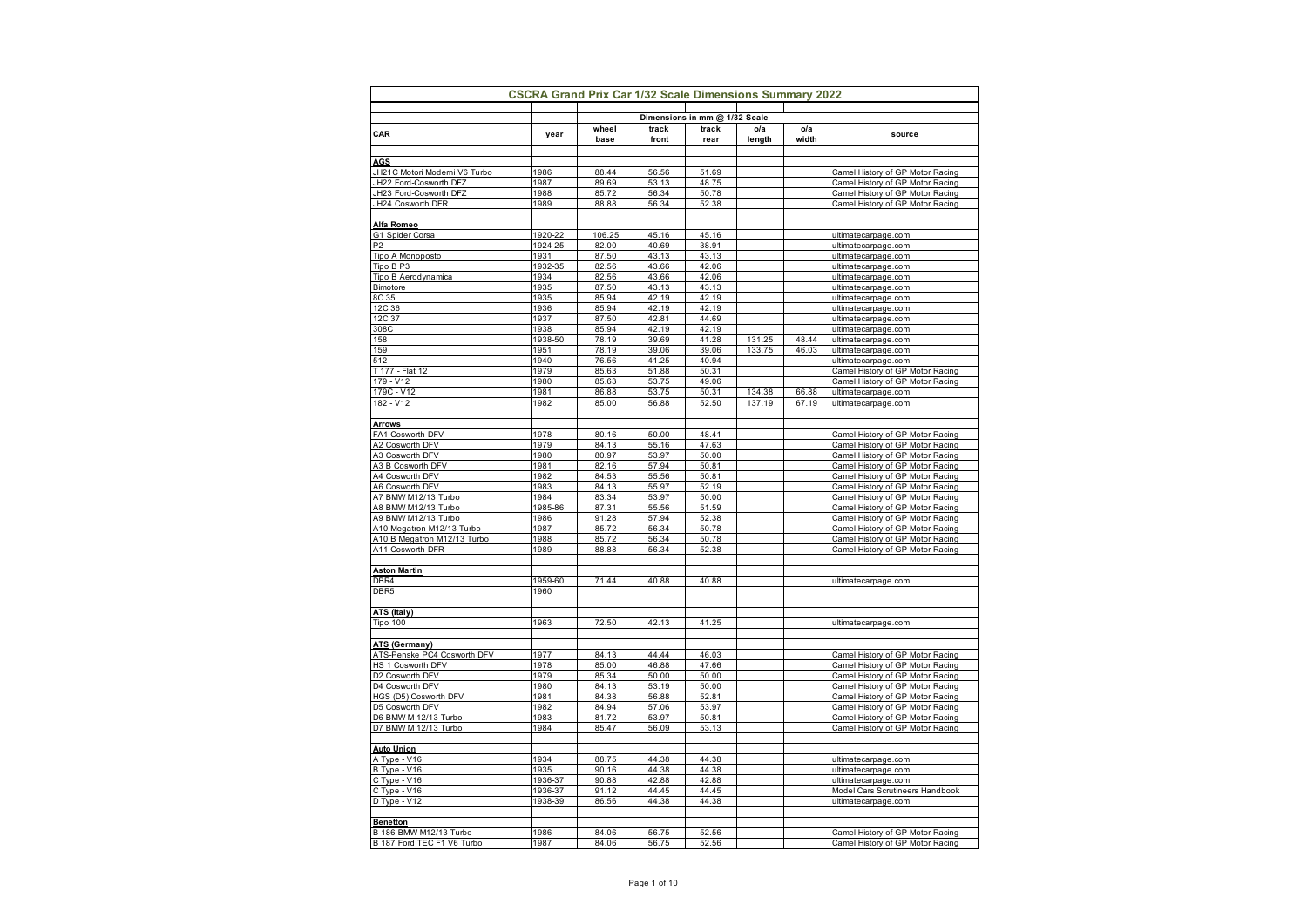|                                                  | <b>CSCRA Grand Prix Car 1/32 Scale Dimensions Summary 2022</b> |                |                |                               |                  |                |                                                                      |
|--------------------------------------------------|----------------------------------------------------------------|----------------|----------------|-------------------------------|------------------|----------------|----------------------------------------------------------------------|
|                                                  |                                                                |                |                | Dimensions in mm @ 1/32 Scale |                  |                |                                                                      |
| CAR                                              | year                                                           | wheel<br>base  | track<br>front | track<br>rear                 | o/a<br>length    | o/a<br>width   | source                                                               |
|                                                  |                                                                |                |                |                               |                  |                |                                                                      |
| <b>AGS</b>                                       |                                                                |                |                |                               |                  |                |                                                                      |
| JH21C Motori Moderni V6 Turbo                    | 1986                                                           | 88.44<br>89.69 | 56.56          | 51.69                         |                  |                | Camel History of GP Motor Racing                                     |
| JH22 Ford-Cosworth DFZ<br>JH23 Ford-Cosworth DFZ | 1987<br>1988                                                   | 85.72          | 53.13<br>56.34 | 48.75<br>50.78                |                  |                | Camel History of GP Motor Racing<br>Camel History of GP Motor Racing |
| JH24 Cosworth DFR                                | 1989                                                           | 88.88          | 56.34          | 52.38                         |                  |                | Camel History of GP Motor Racing                                     |
|                                                  |                                                                |                |                |                               |                  |                |                                                                      |
| Alfa Romeo                                       |                                                                |                |                |                               |                  |                |                                                                      |
| G1 Spider Corsa                                  | 1920-22                                                        | 106.25         | 45.16          | 45.16                         |                  |                | ultimatecarpage.com                                                  |
| P <sub>2</sub>                                   | 1924-25                                                        | 82.00          | 40.69          | 38.91                         |                  |                | ultimatecarpage.com                                                  |
| Tipo A Monoposto                                 | 1931                                                           | 87.50          | 43.13          | 43.13                         |                  |                | ultimatecarpage.com                                                  |
| Tipo B P3                                        | 1932-35                                                        | 82.56          | 43.66          | 42.06                         |                  |                | ultimatecarpage.com                                                  |
| Tipo B Aerodynamica<br>Bimotore                  | 1934<br>1935                                                   | 82.56<br>87.50 | 43.66<br>43.13 | 42.06<br>43.13                |                  |                | ultimatecarpage.com<br>ultimatecarpage.com                           |
| 8C 35                                            | 1935                                                           | 85.94          | 42.19          | 42.19                         |                  |                | ultimatecarpage.com                                                  |
| 12C 36                                           | 1936                                                           | 85.94          | 42.19          | 42.19                         |                  |                | ultimatecarpage.com                                                  |
| 12C 37                                           | 1937                                                           | 87.50          | 42.81          | 44.69                         |                  |                | ultimatecarpage.com                                                  |
| 308C                                             | 1938                                                           | 85.94          | 42.19          | 42.19                         |                  |                | ultimatecarpage.com                                                  |
| 158                                              | 1938-50                                                        | 78.19          | 39.69          | 41.28                         | 131.25           | 48.44          | ultimatecarpage.com                                                  |
| 159                                              | 1951                                                           | 78.19          | 39.06          | 39.06                         | 133.75           | 46.03          | ultimatecarpage.com                                                  |
| 512                                              | 1940                                                           | 76.56          | 41.25          | 40.94                         |                  |                | ultimatecarpage.com                                                  |
| T 177 - Flat 12                                  | 1979                                                           | 85.63          | 51.88          | 50.31                         |                  |                | Camel History of GP Motor Racing                                     |
| 179 - V12                                        | 1980                                                           | 85.63          | 53.75          | 49.06                         |                  |                | Camel History of GP Motor Racing                                     |
| 179C - V12<br>182 - V12                          | 1981<br>1982                                                   | 86.88<br>85.00 | 53.75<br>56.88 | 50.31<br>52.50                | 134.38<br>137.19 | 66.88<br>67.19 | ultimatecarpage.com                                                  |
|                                                  |                                                                |                |                |                               |                  |                | ultimatecarpage.com                                                  |
| <b>Arrows</b>                                    |                                                                |                |                |                               |                  |                |                                                                      |
| FA1 Cosworth DFV                                 | 1978                                                           | 80.16          | 50.00          | 48.41                         |                  |                | Camel History of GP Motor Racing                                     |
| A2 Cosworth DFV                                  | 1979                                                           | 84.13          | 55.16          | 47.63                         |                  |                | Camel History of GP Motor Racing                                     |
| A3 Cosworth DFV                                  | 1980                                                           | 80.97          | 53.97          | 50.00                         |                  |                | Camel History of GP Motor Racing                                     |
| A3 B Cosworth DFV                                | 1981                                                           | 82.16          | 57.94          | 50.81                         |                  |                | Camel History of GP Motor Racing                                     |
| A4 Cosworth DFV                                  | 1982                                                           | 84.53          | 55.56          | 50.81                         |                  |                | Camel History of GP Motor Racing                                     |
| A6 Cosworth DFV                                  | 1983                                                           | 84.13          | 55.97          | 52.19                         |                  |                | Camel History of GP Motor Racing                                     |
| A7 BMW M12/13 Turbo                              | 1984                                                           | 83.34          | 53.97          | 50.00                         |                  |                | Camel History of GP Motor Racing                                     |
| A8 BMW M12/13 Turbo<br>A9 BMW M12/13 Turbo       | 1985-86<br>1986                                                | 87.31          | 55.56<br>57.94 | 51.59                         |                  |                | Camel History of GP Motor Racing                                     |
| A10 Megatron M12/13 Turbo                        | 1987                                                           | 91.28<br>85.72 | 56.34          | 52.38<br>50.78                |                  |                | Camel History of GP Motor Racing<br>Camel History of GP Motor Racing |
| A10 B Megatron M12/13 Turbo                      | 1988                                                           | 85.72          | 56.34          | 50.78                         |                  |                | Camel History of GP Motor Racing                                     |
| A11 Cosworth DFR                                 | 1989                                                           | 88.88          | 56.34          | 52.38                         |                  |                | Camel History of GP Motor Racing                                     |
|                                                  |                                                                |                |                |                               |                  |                |                                                                      |
| <b>Aston Martin</b>                              |                                                                |                |                |                               |                  |                |                                                                      |
| DBR4                                             | 1959-60                                                        | 71.44          | 40.88          | 40.88                         |                  |                | ultimatecarpage.com                                                  |
| DBR <sub>5</sub>                                 | 1960                                                           |                |                |                               |                  |                |                                                                      |
|                                                  |                                                                |                |                |                               |                  |                |                                                                      |
| ATS (Italy)<br>Tipo 100                          | 1963                                                           | 72.50          | 42.13          | 41.25                         |                  |                |                                                                      |
|                                                  |                                                                |                |                |                               |                  |                | ultimatecarpage.com                                                  |
| ATS (Germany)                                    |                                                                |                |                |                               |                  |                |                                                                      |
| ATS-Penske PC4 Cosworth DFV                      | 1977                                                           | 84.13          | 44.44          | 46.03                         |                  |                | Camel History of GP Motor Racing                                     |
| HS 1 Cosworth DFV                                | 1978                                                           | 85.00          | 46.88          | 47.66                         |                  |                | Camel History of GP Motor Racing                                     |
| D2 Cosworth DFV                                  | 1979                                                           | 85.34          | 50.00          | 50.00                         |                  |                | Camel History of GP Motor Racing                                     |
| D4 Cosworth DFV                                  | 1980                                                           | 84.13          | 53.19          | 50.00                         |                  |                | Camel History of GP Motor Racing                                     |
| HGS (D5) Cosworth DFV                            | 1981                                                           | 84.38          | 56.88          | 52.81                         |                  |                | Camel History of GP Motor Racing                                     |
| D5 Cosworth DFV                                  | 1982                                                           | 84.94          | 57.06          | 53.97                         |                  |                | Camel History of GP Motor Racing                                     |
| D6 BMW M 12/13 Turbo                             | 1983                                                           | 81.72          | 53.97          | 50.81                         |                  |                | Camel History of GP Motor Racing                                     |
| D7 BMW M 12/13 Turbo                             | 1984                                                           | 85.47          | 56.09          | 53.13                         |                  |                | Camel History of GP Motor Racing                                     |
| <b>Auto Union</b>                                |                                                                |                |                |                               |                  |                |                                                                      |
| A Type - V16                                     | 1934                                                           | 88.75          | 44.38          | 44.38                         |                  |                | ultimatecarpage.com                                                  |
| B Type - V16                                     | 1935                                                           | 90.16          | 44.38          | 44.38                         |                  |                | ultimatecarpage.com                                                  |
| C Type - V16                                     | 1936-37                                                        | 90.88          | 42.88          | 42.88                         |                  |                | ultimatecarpage.com                                                  |
| C Type - V16                                     | 1936-37                                                        | 91.12          | 44.45          | 44.45                         |                  |                | Model Cars Scrutineers Handbook                                      |
| D Type - V12                                     | 1938-39                                                        | 86.56          | 44.38          | 44.38                         |                  |                | ultimatecarpage.com                                                  |
|                                                  |                                                                |                |                |                               |                  |                |                                                                      |
| <b>Benetton</b>                                  |                                                                |                |                |                               |                  |                |                                                                      |
| B 186 BMW M12/13 Turbo                           | 1986                                                           | 84.06          | 56.75          | 52.56                         |                  |                | Camel History of GP Motor Racing                                     |
| B 187 Ford TEC F1 V6 Turbo                       | 1987                                                           | 84.06          | 56.75          | 52.56                         |                  |                | Camel History of GP Motor Racing                                     |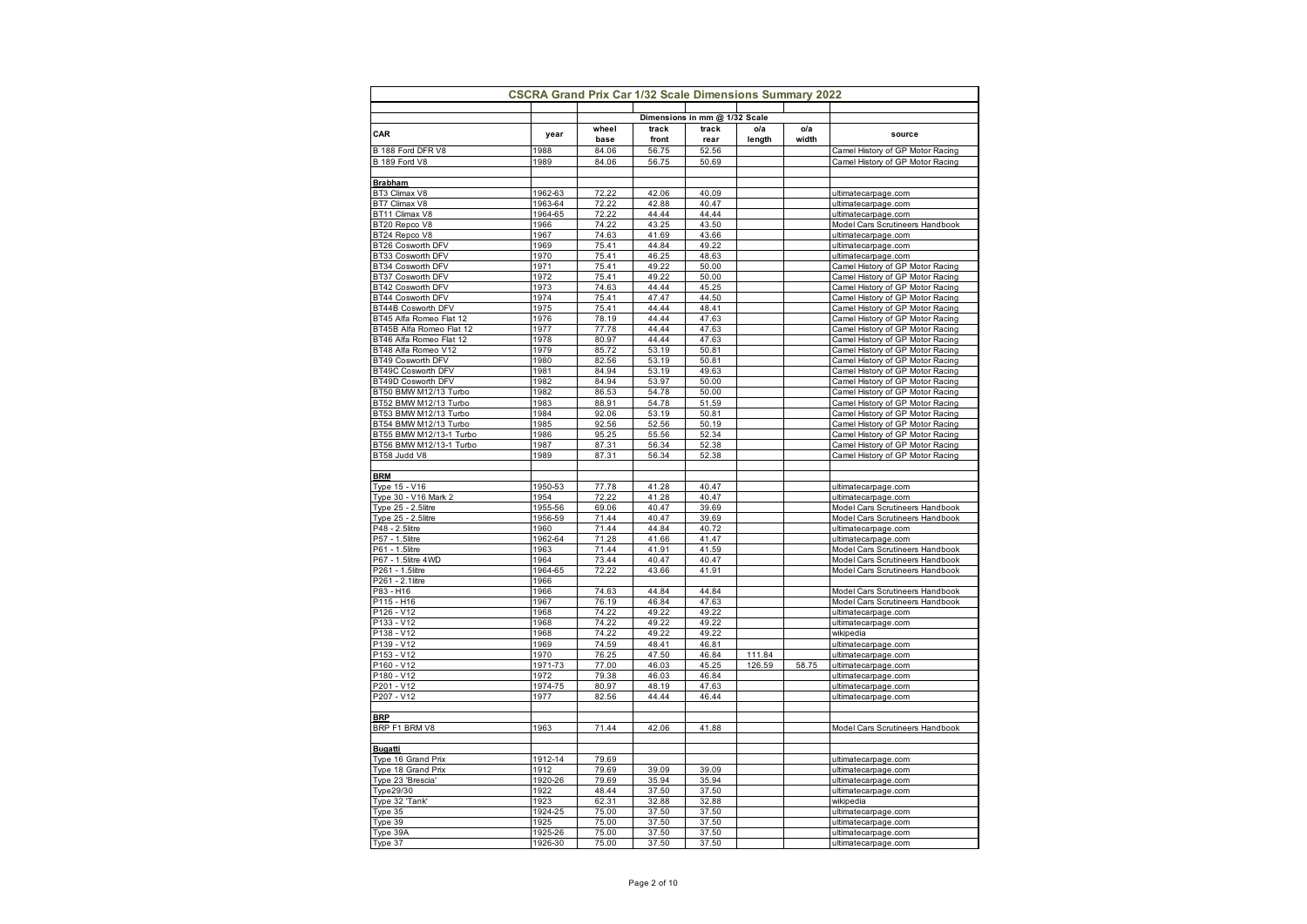|                                                | <b>CSCRA Grand Prix Car 1/32 Scale Dimensions Summary 2022</b> |                |                |                               |        |       |                                                                      |
|------------------------------------------------|----------------------------------------------------------------|----------------|----------------|-------------------------------|--------|-------|----------------------------------------------------------------------|
|                                                |                                                                |                |                | Dimensions in mm @ 1/32 Scale |        |       |                                                                      |
| CAR                                            | year                                                           | wheel          | track          | track                         | o/a    | o/a   | source                                                               |
|                                                |                                                                | base           | front          | rear                          | length | width |                                                                      |
| B 188 Ford DFR V8                              | 1988                                                           | 84.06          | 56.75          | 52.56                         |        |       | Camel History of GP Motor Racing                                     |
| B 189 Ford V8                                  | 1989                                                           | 84.06          | 56.75          | 50.69                         |        |       | Camel History of GP Motor Racing                                     |
| <b>Brabham</b>                                 |                                                                |                |                |                               |        |       |                                                                      |
| BT3 Climax V8                                  | 1962-63                                                        | 72.22          | 42.06          | 40.09                         |        |       | ultimatecarpage.com                                                  |
| BT7 Climax V8                                  | 1963-64                                                        | 72.22          | 42.88          | 40.47                         |        |       | ultimatecarpage.com                                                  |
| BT11 Climax V8                                 | 1964-65                                                        | 72.22          | 44.44          | 44.44                         |        |       | ultimatecarpage.com                                                  |
| BT20 Repco V8                                  | 1966                                                           | 74.22          | 43.25          | 43.50                         |        |       | Model Cars Scrutineers Handbook                                      |
| BT24 Repco V8                                  | 1967                                                           | 74.63          | 41.69          | 43.66                         |        |       | ultimatecarpage.com                                                  |
| BT26 Cosworth DFV                              | 1969                                                           | 75.41          | 44.84          | 49.22                         |        |       | ultimatecarpage.com                                                  |
| BT33 Cosworth DFV                              | 1970<br>1971                                                   | 75.41          | 46.25<br>49.22 | 48.63                         |        |       | ultimatecarpage.com                                                  |
| BT34 Cosworth DFV<br>BT37 Cosworth DFV         | 1972                                                           | 75.41<br>75.41 | 49.22          | 50.00<br>50.00                |        |       | Camel History of GP Motor Racing<br>Camel History of GP Motor Racing |
| BT42 Cosworth DFV                              | 1973                                                           | 74.63          | 44.44          | 45.25                         |        |       | Camel History of GP Motor Racing                                     |
| BT44 Cosworth DFV                              | 1974                                                           | 75.41          | 47.47          | 44.50                         |        |       | Camel History of GP Motor Racing                                     |
| BT44B Cosworth DFV                             | 1975                                                           | 75.41          | 44.44          | 48.41                         |        |       | Camel History of GP Motor Racing                                     |
| BT45 Alfa Romeo Flat 12                        | 1976                                                           | 78.19          | 44.44          | 47.63                         |        |       | Camel History of GP Motor Racing                                     |
| BT45B Alfa Romeo Flat 12                       | 1977                                                           | 77.78          | 44.44          | 47.63                         |        |       | Camel History of GP Motor Racing                                     |
| BT46 Alfa Romeo Flat 12                        | 1978                                                           | 80.97          | 44.44          | 47.63                         |        |       | Camel History of GP Motor Racing                                     |
| BT48 Alfa Romeo V12                            | 1979                                                           | 85.72          | 53.19          | 50.81                         |        |       | Camel History of GP Motor Racing                                     |
| BT49 Cosworth DFV                              | 1980                                                           | 82.56          | 53.19          | 50.81                         |        |       | Camel History of GP Motor Racing                                     |
| BT49C Cosworth DFV                             | 1981                                                           | 84.94          | 53.19          | 49.63                         |        |       | Camel History of GP Motor Racing                                     |
| BT49D Cosworth DFV                             | 1982                                                           | 84.94          | 53.97          | 50.00                         |        |       | Camel History of GP Motor Racing                                     |
| BT50 BMW M12/13 Turbo                          | 1982                                                           | 86.53          | 54.78          | 50.00                         |        |       | Camel History of GP Motor Racing                                     |
| BT52 BMW M12/13 Turbo<br>BT53 BMW M12/13 Turbo | 1983<br>1984                                                   | 88.91<br>92.06 | 54.78<br>53.19 | 51.59<br>50.81                |        |       | Camel History of GP Motor Racing<br>Camel History of GP Motor Racing |
| BT54 BMW M12/13 Turbo                          | 1985                                                           | 92.56          | 52.56          | 50.19                         |        |       | Camel History of GP Motor Racing                                     |
| BT55 BMW M12/13-1 Turbo                        | 1986                                                           | 95.25          | 55.56          | 52.34                         |        |       | Camel History of GP Motor Racing                                     |
| BT56 BMW M12/13-1 Turbo                        | 1987                                                           | 87.31          | 56.34          | 52.38                         |        |       | Camel History of GP Motor Racing                                     |
| BT58 Judd V8                                   | 1989                                                           | 87.31          | 56.34          | 52.38                         |        |       | Camel History of GP Motor Racing                                     |
|                                                |                                                                |                |                |                               |        |       |                                                                      |
| <b>BRM</b>                                     |                                                                |                |                |                               |        |       |                                                                      |
| Type 15 - V16                                  | 1950-53                                                        | 77.78          | 41.28          | 40.47                         |        |       | ultimatecarpage.com                                                  |
| Type 30 - V16 Mark 2                           | 1954                                                           | 72.22          | 41.28          | 40.47                         |        |       | ultimatecarpage.com                                                  |
| Type 25 - 2.5litre                             | 1955-56<br>1956-59                                             | 69.06<br>71.44 | 40.47<br>40.47 | 39.69<br>39.69                |        |       | Model Cars Scrutineers Handbook                                      |
| Type 25 - 2.5litre<br>P48 - 2.5litre           | 1960                                                           | 71.44          | 44.84          | 40.72                         |        |       | Model Cars Scrutineers Handbook<br>ultimatecarpage.com               |
| P57 - 1.5litre                                 | 1962-64                                                        | 71.28          | 41.66          | 41.47                         |        |       | ultimatecarpage.com                                                  |
| P61 - 1.5litre                                 | 1963                                                           | 71.44          | 41.91          | 41.59                         |        |       | Model Cars Scrutineers Handbook                                      |
| P67 - 1.5litre 4WD                             | 1964                                                           | 73.44          | 40.47          | 40.47                         |        |       | Model Cars Scrutineers Handbook                                      |
| P261 - 1.5litre                                | 1964-65                                                        | 72.22          | 43.66          | 41.91                         |        |       | Model Cars Scrutineers Handbook                                      |
| P261 - 2.1litre                                | 1966                                                           |                |                |                               |        |       |                                                                      |
| P83 - H16                                      | 1966                                                           | 74.63          | 44.84          | 44.84                         |        |       | Model Cars Scrutineers Handbook                                      |
| P115 - H16                                     | 1967                                                           | 76.19          | 46.84          | 47.63                         |        |       | Model Cars Scrutineers Handbook                                      |
| P126 - V12                                     | 1968                                                           | 74.22          | 49.22          | 49.22                         |        |       | ultimatecarpage.com                                                  |
| P133 - V12<br>$P138 - V12$                     | 1968<br>1968                                                   | 74.22<br>74.22 | 49.22<br>49.22 | 49.22<br>49.22                |        |       | ultimatecarpage.com<br>wikipedia                                     |
| P139 - V12                                     | 1969                                                           | 74.59          | 48.41          | 46.81                         |        |       | ultimatecarpage.com                                                  |
| P153 - V12                                     | 1970                                                           | 76.25          | 47.50          | 46.84                         | 111.84 |       | ultimatecarpage.com                                                  |
| P160 - V12                                     | 1971-73                                                        | 77.00          | 46.03          | 45.25                         | 126.59 | 58.75 | ultimatecarpage.com                                                  |
| P180 - V12                                     | 1972                                                           | 79.38          | 46.03          | 46.84                         |        |       | ultimatecarpage.com                                                  |
| P201 - V12                                     | 1974-75                                                        | 80.97          | 48.19          | 47.63                         |        |       | ultimatecarpage.com                                                  |
| P207 - V12                                     | 1977                                                           | 82.56          | 44.44          | 46.44                         |        |       | ultimatecarpage.com                                                  |
|                                                |                                                                |                |                |                               |        |       |                                                                      |
| <b>BRP</b>                                     |                                                                |                |                |                               |        |       |                                                                      |
| BRP F1 BRM V8                                  | 1963                                                           | 71.44          | 42.06          | 41.88                         |        |       | Model Cars Scrutineers Handbook                                      |
|                                                |                                                                |                |                |                               |        |       |                                                                      |
| <b>Bugatti</b>                                 | 1912-14                                                        | 79.69          |                |                               |        |       |                                                                      |
| Type 16 Grand Prix<br>Type 18 Grand Prix       | 1912                                                           | 79.69          | 39.09          | 39.09                         |        |       | ultimatecarpage.com<br>ultimatecarpage.com                           |
| Type 23 'Brescia'                              | 1920-26                                                        | 79.69          | 35.94          | 35.94                         |        |       | ultimatecarpage.com                                                  |
| Type29/30                                      | 1922                                                           | 48.44          | 37.50          | 37.50                         |        |       | ultimatecarpage.com                                                  |
| Type 32 'Tank'                                 | 1923                                                           | 62.31          | 32.88          | 32.88                         |        |       | wikipedia                                                            |
| Type 35                                        | 1924-25                                                        | 75.00          | 37.50          | 37.50                         |        |       | ultimatecarpage.com                                                  |
| Type 39                                        | 1925                                                           | 75.00          | 37.50          | 37.50                         |        |       | ultimatecarpage.com                                                  |
| Type 39A                                       | 1925-26                                                        | 75.00          | 37.50          | 37.50                         |        |       | ultimatecarpage.com                                                  |
| Type 37                                        | 1926-30                                                        | 75.00          | 37.50          | 37.50                         |        |       | ultimatecarpage.com                                                  |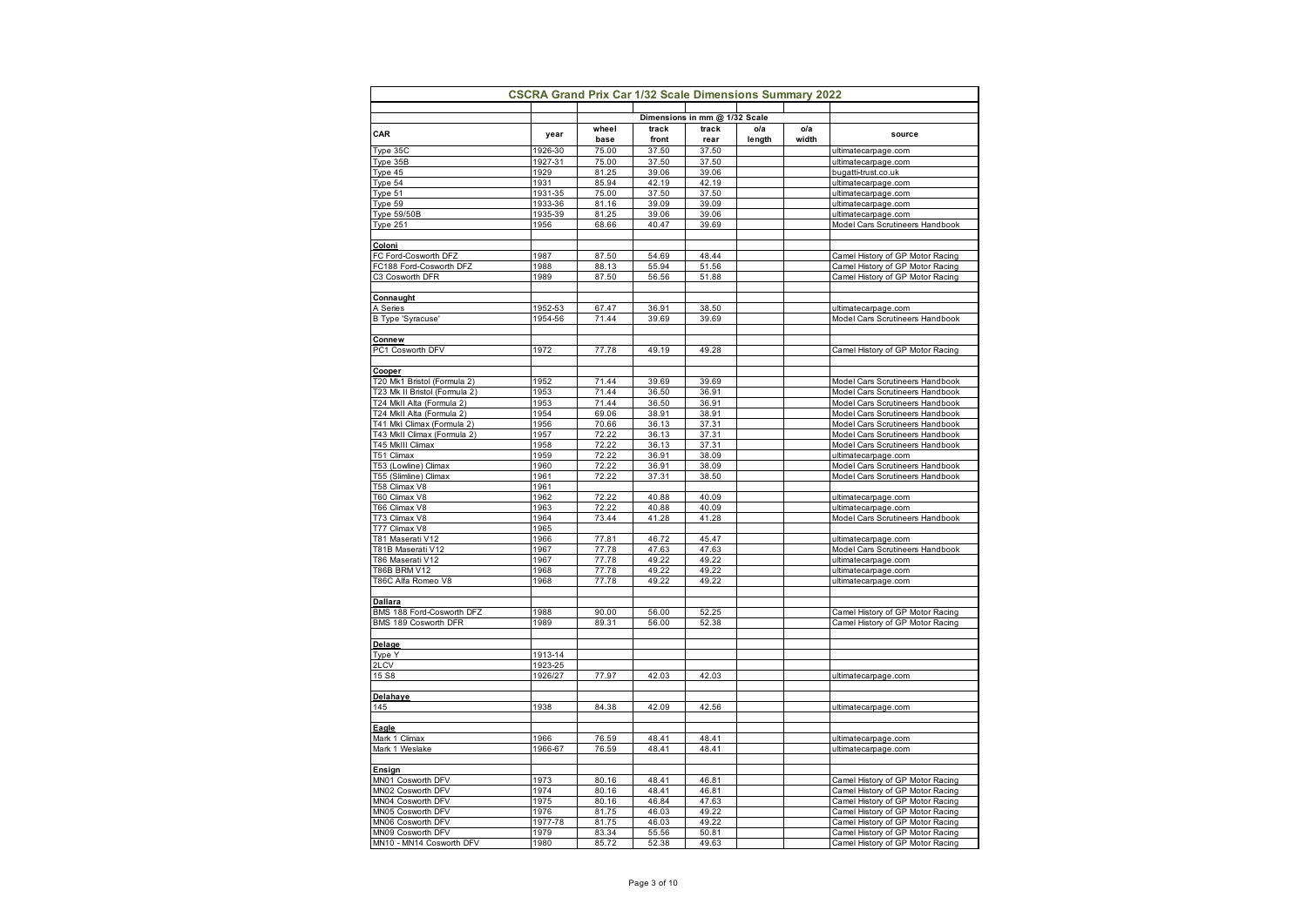| <b>CSCRA Grand Prix Car 1/32 Scale Dimensions Summary 2022</b> |         |       |       |                               |        |       |                                        |  |
|----------------------------------------------------------------|---------|-------|-------|-------------------------------|--------|-------|----------------------------------------|--|
|                                                                |         |       |       | Dimensions in mm @ 1/32 Scale |        |       |                                        |  |
| CAR                                                            | year    | wheel | track | track                         | o/a    | o/a   | source                                 |  |
|                                                                |         | base  | front | rear                          | length | width |                                        |  |
| Type 35C                                                       | 1926-30 | 75.00 | 37.50 | 37.50                         |        |       | ultimatecarpage.com                    |  |
| Type 35B                                                       | 1927-31 | 75.00 | 37.50 | 37.50                         |        |       | ultimatecarpage.com                    |  |
| Type 45                                                        | 1929    | 81.25 | 39.06 | 39.06                         |        |       | bugatti-trust.co.uk                    |  |
| Type 54                                                        | 1931    | 85.94 | 42.19 | 42.19                         |        |       | ultimatecarpage.com                    |  |
| Type 51                                                        | 1931-35 | 75.00 | 37.50 | 37.50                         |        |       | ultimatecarpage.com                    |  |
| Type 59                                                        | 1933-36 | 81.16 | 39.09 | 39.09                         |        |       | ultimatecarpage.com                    |  |
| Type 59/50B                                                    | 1935-39 | 81.25 | 39.06 | 39.06                         |        |       | ultimatecarpage.com                    |  |
| Type 251                                                       | 1956    | 68.66 | 40.47 | 39.69                         |        |       | Model Cars Scrutineers Handbook        |  |
| Coloni                                                         |         |       |       |                               |        |       |                                        |  |
| FC Ford-Cosworth DFZ                                           | 1987    | 87.50 | 54.69 | 48.44                         |        |       | Camel History of GP Motor Racing       |  |
| FC188 Ford-Cosworth DFZ                                        | 1988    | 88.13 | 55.94 | 51.56                         |        |       | Camel History of GP Motor Racing       |  |
| C3 Cosworth DFR                                                | 1989    | 87.50 | 56.56 | 51.88                         |        |       | Camel History of GP Motor Racing       |  |
|                                                                |         |       |       |                               |        |       |                                        |  |
| Connaught                                                      |         |       |       |                               |        |       |                                        |  |
| A Series                                                       | 1952-53 | 67.47 | 36.91 | 38.50                         |        |       | ultimatecarpage.com                    |  |
| B Type 'Syracuse'                                              | 1954-56 | 71.44 | 39.69 | 39.69                         |        |       | Model Cars Scrutineers Handbook        |  |
| <b>Connew</b>                                                  |         |       |       |                               |        |       |                                        |  |
| PC1 Cosworth DFV                                               | 1972    | 77.78 | 49.19 | 49.28                         |        |       | Camel History of GP Motor Racing       |  |
|                                                                |         |       |       |                               |        |       |                                        |  |
| Cooper<br>T20 Mk1 Bristol (Formula 2)                          | 1952    | 71.44 | 39.69 | 39.69                         |        |       | Model Cars Scrutineers Handbook        |  |
|                                                                |         |       |       |                               |        |       |                                        |  |
| T23 Mk II Bristol (Formula 2)                                  | 1953    | 71.44 | 36.50 | 36.91                         |        |       | Model Cars Scrutineers Handbook        |  |
| T24 MkII Alta (Formula 2)                                      | 1953    | 71.44 | 36.50 | 36.91                         |        |       | Model Cars Scrutineers Handbook        |  |
| T24 MkII Alta (Formula 2)                                      | 1954    | 69.06 | 38.91 | 38.91                         |        |       | Model Cars Scrutineers Handbook        |  |
| T41 Mkl Climax (Formula 2)                                     | 1956    | 70.66 | 36.13 | 37.31                         |        |       | Model Cars Scrutineers Handbook        |  |
| T43 MkII Climax (Formula 2)                                    | 1957    | 72.22 | 36.13 | 37.31                         |        |       | Model Cars Scrutineers Handbook        |  |
| T45 MkIII Climax                                               | 1958    | 72.22 | 36.13 | 37.31                         |        |       | <b>Model Cars Scrutineers Handbook</b> |  |
| T51 Climax                                                     | 1959    | 72.22 | 36.91 | 38.09                         |        |       | ultimatecarpage.com                    |  |
| T53 (Lowline) Climax                                           | 1960    | 72.22 | 36.91 | 38.09                         |        |       | Model Cars Scrutineers Handbook        |  |
| T55 (Slimline) Climax                                          | 1961    | 72.22 | 37.31 | 38.50                         |        |       | Model Cars Scrutineers Handbook        |  |
| T58 Climax V8                                                  | 1961    |       |       |                               |        |       |                                        |  |
| T60 Climax V8                                                  | 1962    | 72.22 | 40.88 | 40.09                         |        |       | ultimatecarpage.com                    |  |
| T66 Climax V8                                                  | 1963    | 72.22 | 40.88 | 40.09                         |        |       | ultimatecarpage.com                    |  |
| T73 Climax V8                                                  | 1964    | 73.44 | 41.28 | 41.28                         |        |       | Model Cars Scrutineers Handbook        |  |
| T77 Climax V8                                                  | 1965    |       |       |                               |        |       |                                        |  |
| T81 Maserati V12                                               | 1966    | 77.81 | 46.72 | 45.47                         |        |       | ultimatecarpage.com                    |  |
| T81B Maserati V12                                              | 1967    | 77.78 | 47.63 | 47.63                         |        |       | Model Cars Scrutineers Handbook        |  |
| T86 Maserati V12                                               | 1967    | 77.78 | 49.22 | 49.22                         |        |       | ultimatecarpage.com                    |  |
| T86B BRM V12                                                   | 1968    | 77.78 | 49.22 | 49.22                         |        |       | ultimatecarpage.com                    |  |
| T86C Alfa Romeo V8                                             | 1968    | 77.78 | 49.22 | 49.22                         |        |       | ultimatecarpage.com                    |  |
|                                                                |         |       |       |                               |        |       |                                        |  |
| <b>Dallara</b><br>BMS 188 Ford-Cosworth DFZ                    | 1988    | 90.00 | 56.00 | 52.25                         |        |       | Camel History of GP Motor Racing       |  |
|                                                                |         |       |       |                               |        |       |                                        |  |
| BMS 189 Cosworth DFR                                           | 1989    | 89.31 | 56.00 | 52.38                         |        |       | Camel History of GP Motor Racing       |  |
| Delage                                                         |         |       |       |                               |        |       |                                        |  |
| Type Y                                                         | 1913-14 |       |       |                               |        |       |                                        |  |
| 2LCV                                                           | 1923-25 |       |       |                               |        |       |                                        |  |
| 15 S8                                                          | 1926/27 | 77.97 | 42.03 | 42.03                         |        |       | ultimatecarpage.com                    |  |
|                                                                |         |       |       |                               |        |       |                                        |  |
| Delahaye                                                       |         |       |       |                               |        |       |                                        |  |
| 145                                                            | 1938    | 84.38 | 42.09 | 42.56                         |        |       | ultimatecarpage.com                    |  |
| Eagle                                                          |         |       |       |                               |        |       |                                        |  |
| Mark 1 Climax                                                  | 1966    | 76.59 | 48.41 | 48.41                         |        |       | ultimatecarpage.com                    |  |
| Mark 1 Weslake                                                 | 1966-67 | 76.59 | 48.41 | 48.41                         |        |       | ultimatecarpage.com                    |  |
|                                                                |         |       |       |                               |        |       |                                        |  |
| Ensign                                                         |         |       |       |                               |        |       |                                        |  |
| MN01 Cosworth DFV                                              | 1973    | 80.16 | 48.41 | 46.81                         |        |       | Camel History of GP Motor Racing       |  |
| MN02 Cosworth DFV                                              | 1974    | 80.16 | 48.41 | 46.81                         |        |       | Camel History of GP Motor Racing       |  |
| MN04 Cosworth DFV                                              | 1975    | 80.16 | 46.84 | 47.63                         |        |       | Camel History of GP Motor Racing       |  |
| MN05 Cosworth DFV                                              | 1976    | 81.75 | 46.03 | 49.22                         |        |       | Camel History of GP Motor Racing       |  |
| MN06 Cosworth DFV                                              | 1977-78 | 81.75 | 46.03 | 49.22                         |        |       | Camel History of GP Motor Racing       |  |
| MN09 Cosworth DFV                                              | 1979    | 83.34 | 55.56 | 50.81                         |        |       | Camel History of GP Motor Racing       |  |
| MN10 - MN14 Cosworth DFV                                       | 1980    | 85.72 | 52.38 | 49.63                         |        |       | Camel History of GP Motor Racing       |  |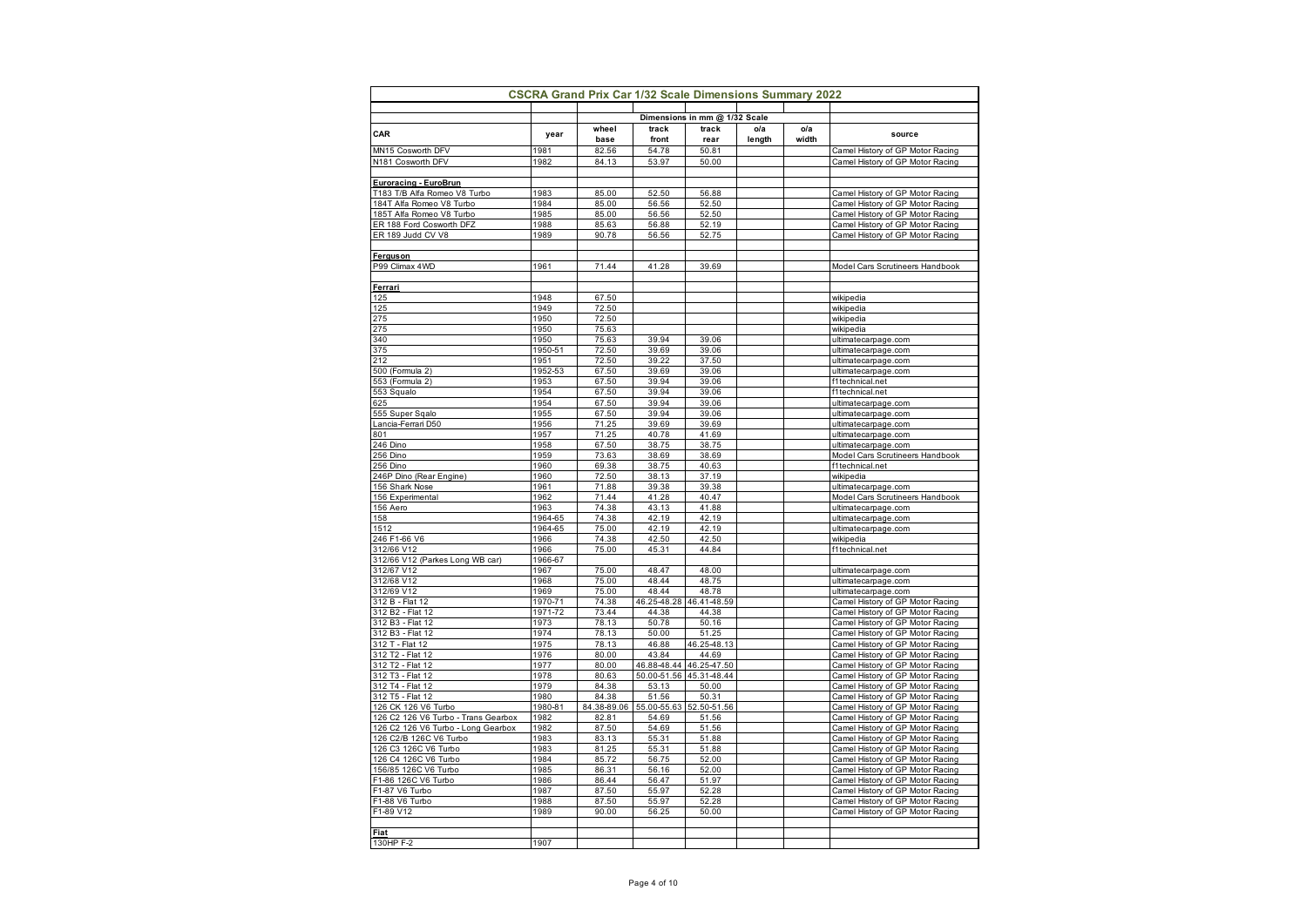|                                                              |                 | <b>CSCRA Grand Prix Car 1/32 Scale Dimensions Summary 2022</b> |                      |                               |               |              |                                                                      |
|--------------------------------------------------------------|-----------------|----------------------------------------------------------------|----------------------|-------------------------------|---------------|--------------|----------------------------------------------------------------------|
|                                                              |                 |                                                                |                      | Dimensions in mm @ 1/32 Scale |               |              |                                                                      |
| CAR                                                          | year            | wheel<br>base                                                  | track<br>front       | track<br>rear                 | o/a<br>length | o/a<br>width | source                                                               |
| MN15 Cosworth DFV                                            | 1981            | 82.56                                                          | 54.78                | 50.81                         |               |              | Camel History of GP Motor Racing                                     |
| N181 Cosworth DFV                                            | 1982            | 84.13                                                          | 53.97                | 50.00                         |               |              | Camel History of GP Motor Racing                                     |
|                                                              |                 |                                                                |                      |                               |               |              |                                                                      |
| <b>Euroracing - EuroBrun</b><br>T183 T/B Alfa Romeo V8 Turbo | 1983            | 85.00                                                          | 52.50                | 56.88                         |               |              | Camel History of GP Motor Racing                                     |
| 184T Alfa Romeo V8 Turbo                                     | 1984            | 85.00                                                          | 56.56                | 52.50                         |               |              | Camel History of GP Motor Racing                                     |
| 185T Alfa Romeo V8 Turbo                                     | 1985            | 85.00                                                          | 56.56                | 52.50                         |               |              | Camel History of GP Motor Racing                                     |
| ER 188 Ford Cosworth DFZ                                     | 1988            | 85.63                                                          | 56.88                | 52.19                         |               |              | Camel History of GP Motor Racing                                     |
| ER 189 Judd CV V8                                            | 1989            | 90.78                                                          | 56.56                | 52.75                         |               |              | Camel History of GP Motor Racing                                     |
| Ferguson                                                     |                 |                                                                |                      |                               |               |              |                                                                      |
| P99 Climax 4WD                                               | 1961            | 71.44                                                          | 41.28                | 39.69                         |               |              | Model Cars Scrutineers Handbook                                      |
|                                                              |                 |                                                                |                      |                               |               |              |                                                                      |
| Ferrari                                                      |                 |                                                                |                      |                               |               |              |                                                                      |
| 125<br>125                                                   | 1948<br>1949    | 67.50<br>72.50                                                 |                      |                               |               |              | wikipedia<br>wikipedia                                               |
| 275                                                          | 1950            | 72.50                                                          |                      |                               |               |              | wikipedia                                                            |
| 275                                                          | 1950            | 75.63                                                          |                      |                               |               |              | wikipedia                                                            |
| 340                                                          | 1950            | 75.63                                                          | 39.94                | 39.06                         |               |              | ultimatecarpage.com                                                  |
| 375                                                          | 1950-51         | 72.50                                                          | 39.69                | 39.06                         |               |              | ultimatecarpage.com                                                  |
| 212                                                          | 1951            | 72.50                                                          | 39.22                | 37.50                         |               |              | ultimatecarpage.com                                                  |
| 500 (Formula 2)<br>553 (Formula 2)                           | 1952-53<br>1953 | 67.50<br>67.50                                                 | 39.69<br>39.94       | 39.06<br>39.06                |               |              | ultimatecarpage.com<br>f1technical.net                               |
| 553 Squalo                                                   | 1954            | 67.50                                                          | 39.94                | 39.06                         |               |              | f1technical.net                                                      |
| 625                                                          | 1954            | 67.50                                                          | 39.94                | 39.06                         |               |              | ultimatecarpage.com                                                  |
| 555 Super Sqalo                                              | 1955            | 67.50                                                          | 39.94                | 39.06                         |               |              | ultimatecarpage.com                                                  |
| Lancia-Ferrari D50                                           | 1956            | 71.25                                                          | 39.69                | 39.69                         |               |              | ultimatecarpage.com                                                  |
| 801                                                          | 1957            | 71.25                                                          | 40.78                | 41.69                         |               |              | ultimatecarpage.com                                                  |
| 246 Dino<br>256 Dino                                         | 1958<br>1959    | 67.50<br>73.63                                                 | 38.75<br>38.69       | 38.75<br>38.69                |               |              | ultimatecarpage.com<br>Model Cars Scrutineers Handbook               |
| 256 Dino                                                     | 1960            | 69.38                                                          | 38.75                | 40.63                         |               |              | f1technical.net                                                      |
| 246P Dino (Rear Engine)                                      | 1960            | 72.50                                                          | 38.13                | 37.19                         |               |              | wikipedia                                                            |
| 156 Shark Nose                                               | 1961            | 71.88                                                          | 39.38                | 39.38                         |               |              | ultimatecarpage.com                                                  |
| 156 Experimental                                             | 1962            | 71.44                                                          | 41.28                | 40.47                         |               |              | Model Cars Scrutineers Handbook                                      |
| 156 Aero<br>158                                              | 1963<br>1964-65 | 74.38<br>74.38                                                 | 43.13<br>42.19       | 41.88<br>42.19                |               |              | ultimatecarpage.com<br>ultimatecarpage.com                           |
| 1512                                                         | 1964-65         | 75.00                                                          | 42.19                | 42.19                         |               |              | ultimatecarpage.com                                                  |
| 246 F1-66 V6                                                 | 1966            | 74.38                                                          | 42.50                | 42.50                         |               |              | wikipedia                                                            |
| 312/66 V12                                                   | 1966            | 75.00                                                          | 45.31                | 44.84                         |               |              | f1technical.net                                                      |
| 312/66 V12 (Parkes Long WB car)                              | 1966-67         |                                                                |                      |                               |               |              |                                                                      |
| 312/67 V12<br>312/68 V12                                     | 1967<br>1968    | 75.00<br>75.00                                                 | 48.47<br>48.44       | 48.00<br>48.75                |               |              | ultimatecarpage.com<br>ultimatecarpage.com                           |
| 312/69 V12                                                   | 1969            | 75.00                                                          | 48.44                | 48.78                         |               |              | ultimatecarpage.com                                                  |
| 312 B - Flat 12                                              | 1970-71         | 74.38                                                          | 46.25-48.28          | 46.41-48.59                   |               |              | Camel History of GP Motor Racing                                     |
| 312 B2 - Flat 12                                             | 1971-72         | 73.44                                                          | 44.38                | 44.38                         |               |              | Camel History of GP Motor Racing                                     |
| 312 B3 - Flat 12                                             | 1973            | 78.13                                                          | 50.78                | 50.16                         |               |              | Camel History of GP Motor Racing                                     |
| 312 B3 - Flat 12<br>312 T - Flat 12                          | 1974<br>1975    | 78.13<br>78.13                                                 | 50.00<br>46.88       | 51.25<br>25-48.13<br>46       |               |              | Camel History of GP Motor Racing<br>Camel History of GP Motor Racing |
| 312 T2 - Flat 12                                             | 1976            | 80.00                                                          | 43.84                | 44.69                         |               |              | Camel History of GP Motor Racing                                     |
| 312 T2 - Flat 12                                             | 1977            | 80.00                                                          | 46.88-48.44          | 46.25-47.50                   |               |              | Camel History of GP Motor Racing                                     |
| 312 T3 - Flat 12                                             | 1978            | 80.63                                                          |                      | 50.00-51.56 45.31-48.44       |               |              | Camel History of GP Motor Racing                                     |
| 312 T4 - Flat 12                                             | 1979            | 84.38                                                          | 53.13                | 50.00                         |               |              | Camel History of GP Motor Racing                                     |
| 312 T5 - Flat 12<br>126 CK 126 V6 Turbo                      | 1980<br>1980-81 | 84.38<br>84.38-89.06                                           | 51.56<br>55.00-55.63 | 50.31<br>52.50-51.56          |               |              | Camel History of GP Motor Racing<br>Camel History of GP Motor Racing |
| 126 C2 126 V6 Turbo - Trans Gearbox                          | 1982            | 82.81                                                          | 54.69                | 51.56                         |               |              | Camel History of GP Motor Racing                                     |
| 126 C2 126 V6 Turbo - Long Gearbox                           | 1982            | 87.50                                                          | 54.69                | 51.56                         |               |              | Camel History of GP Motor Racing                                     |
| 126 C2/B 126C V6 Turbo                                       | 1983            | 83.13                                                          | 55.31                | 51.88                         |               |              | Camel History of GP Motor Racing                                     |
| 126 C3 126C V6 Turbo                                         | 1983            | 81.25                                                          | 55.31                | 51.88                         |               |              | Camel History of GP Motor Racing                                     |
| 126 C4 126C V6 Turbo<br>156/85 126C V6 Turbo                 | 1984<br>1985    | 85.72<br>86.31                                                 | 56.75<br>56.16       | 52.00<br>52.00                |               |              | Camel History of GP Motor Racing                                     |
| F1-86 126C V6 Turbo                                          | 1986            | 86.44                                                          | 56.47                | 51.97                         |               |              | Camel History of GP Motor Racing<br>Camel History of GP Motor Racing |
| F1-87 V6 Turbo                                               | 1987            | 87.50                                                          | 55.97                | 52.28                         |               |              | Camel History of GP Motor Racing                                     |
| F1-88 V6 Turbo                                               | 1988            | 87.50                                                          | 55.97                | 52.28                         |               |              | Camel History of GP Motor Racing                                     |
| F1-89 V12                                                    | 1989            | 90.00                                                          | 56.25                | 50.00                         |               |              | Camel History of GP Motor Racing                                     |
|                                                              |                 |                                                                |                      |                               |               |              |                                                                      |
| <b>Fiat</b><br>130HP F-2                                     | 1907            |                                                                |                      |                               |               |              |                                                                      |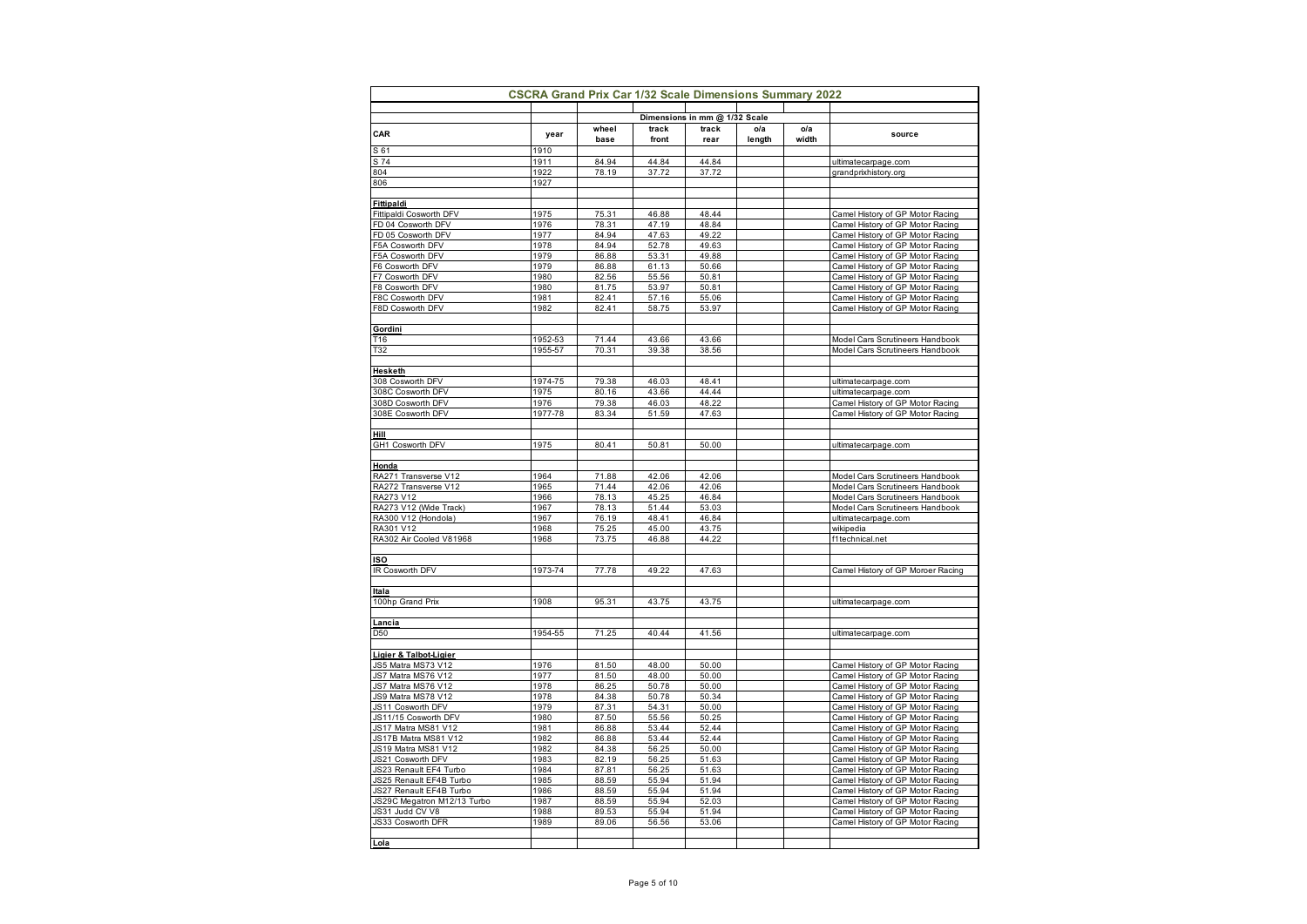| year    | base                                                                                                                                                                                                                                          | front                                                                                                                                                                                                                                                             | rear                                                                                                                                                                                                                                                              | length                                                                                                                                                                                                                                                            | width                                | source                                                               |
|---------|-----------------------------------------------------------------------------------------------------------------------------------------------------------------------------------------------------------------------------------------------|-------------------------------------------------------------------------------------------------------------------------------------------------------------------------------------------------------------------------------------------------------------------|-------------------------------------------------------------------------------------------------------------------------------------------------------------------------------------------------------------------------------------------------------------------|-------------------------------------------------------------------------------------------------------------------------------------------------------------------------------------------------------------------------------------------------------------------|--------------------------------------|----------------------------------------------------------------------|
| 1910    |                                                                                                                                                                                                                                               |                                                                                                                                                                                                                                                                   |                                                                                                                                                                                                                                                                   |                                                                                                                                                                                                                                                                   |                                      |                                                                      |
|         |                                                                                                                                                                                                                                               |                                                                                                                                                                                                                                                                   |                                                                                                                                                                                                                                                                   |                                                                                                                                                                                                                                                                   |                                      | ultimatecarpage.com                                                  |
|         |                                                                                                                                                                                                                                               |                                                                                                                                                                                                                                                                   |                                                                                                                                                                                                                                                                   |                                                                                                                                                                                                                                                                   |                                      | grandprixhistory.org                                                 |
|         |                                                                                                                                                                                                                                               |                                                                                                                                                                                                                                                                   |                                                                                                                                                                                                                                                                   |                                                                                                                                                                                                                                                                   |                                      |                                                                      |
|         |                                                                                                                                                                                                                                               |                                                                                                                                                                                                                                                                   |                                                                                                                                                                                                                                                                   |                                                                                                                                                                                                                                                                   |                                      |                                                                      |
| 1975    | 75.31                                                                                                                                                                                                                                         | 46.88                                                                                                                                                                                                                                                             | 48.44                                                                                                                                                                                                                                                             |                                                                                                                                                                                                                                                                   |                                      | Camel History of GP Motor Racing                                     |
| 1976    | 78.31                                                                                                                                                                                                                                         | 47.19                                                                                                                                                                                                                                                             | 48.84                                                                                                                                                                                                                                                             |                                                                                                                                                                                                                                                                   |                                      | Camel History of GP Motor Racing                                     |
| 1977    | 84.94                                                                                                                                                                                                                                         | 47.63                                                                                                                                                                                                                                                             | 49.22                                                                                                                                                                                                                                                             |                                                                                                                                                                                                                                                                   |                                      | Camel History of GP Motor Racing                                     |
| 1978    | 84.94                                                                                                                                                                                                                                         | 52.78                                                                                                                                                                                                                                                             | 49.63                                                                                                                                                                                                                                                             |                                                                                                                                                                                                                                                                   |                                      | Camel History of GP Motor Racing                                     |
| 1979    | 86.88                                                                                                                                                                                                                                         | 53.31                                                                                                                                                                                                                                                             | 49.88                                                                                                                                                                                                                                                             |                                                                                                                                                                                                                                                                   |                                      | Camel History of GP Motor Racing                                     |
|         |                                                                                                                                                                                                                                               |                                                                                                                                                                                                                                                                   |                                                                                                                                                                                                                                                                   |                                                                                                                                                                                                                                                                   |                                      | Camel History of GP Motor Racing                                     |
|         |                                                                                                                                                                                                                                               |                                                                                                                                                                                                                                                                   |                                                                                                                                                                                                                                                                   |                                                                                                                                                                                                                                                                   |                                      | Camel History of GP Motor Racing                                     |
|         |                                                                                                                                                                                                                                               |                                                                                                                                                                                                                                                                   |                                                                                                                                                                                                                                                                   |                                                                                                                                                                                                                                                                   |                                      | Camel History of GP Motor Racing                                     |
|         |                                                                                                                                                                                                                                               |                                                                                                                                                                                                                                                                   |                                                                                                                                                                                                                                                                   |                                                                                                                                                                                                                                                                   |                                      | Camel History of GP Motor Racing<br>Camel History of GP Motor Racing |
|         |                                                                                                                                                                                                                                               |                                                                                                                                                                                                                                                                   |                                                                                                                                                                                                                                                                   |                                                                                                                                                                                                                                                                   |                                      |                                                                      |
|         |                                                                                                                                                                                                                                               |                                                                                                                                                                                                                                                                   |                                                                                                                                                                                                                                                                   |                                                                                                                                                                                                                                                                   |                                      |                                                                      |
| 1952-53 | 71.44                                                                                                                                                                                                                                         | 43.66                                                                                                                                                                                                                                                             | 43.66                                                                                                                                                                                                                                                             |                                                                                                                                                                                                                                                                   |                                      | Model Cars Scrutineers Handbook                                      |
| 1955-57 | 70.31                                                                                                                                                                                                                                         | 39.38                                                                                                                                                                                                                                                             | 38.56                                                                                                                                                                                                                                                             |                                                                                                                                                                                                                                                                   |                                      | Model Cars Scrutineers Handbook                                      |
|         |                                                                                                                                                                                                                                               |                                                                                                                                                                                                                                                                   |                                                                                                                                                                                                                                                                   |                                                                                                                                                                                                                                                                   |                                      |                                                                      |
|         |                                                                                                                                                                                                                                               |                                                                                                                                                                                                                                                                   |                                                                                                                                                                                                                                                                   |                                                                                                                                                                                                                                                                   |                                      |                                                                      |
|         |                                                                                                                                                                                                                                               |                                                                                                                                                                                                                                                                   |                                                                                                                                                                                                                                                                   |                                                                                                                                                                                                                                                                   |                                      | ultimatecarpage.com<br>ultimatecarpage.com                           |
|         |                                                                                                                                                                                                                                               |                                                                                                                                                                                                                                                                   |                                                                                                                                                                                                                                                                   |                                                                                                                                                                                                                                                                   |                                      | Camel History of GP Motor Racing                                     |
|         |                                                                                                                                                                                                                                               |                                                                                                                                                                                                                                                                   |                                                                                                                                                                                                                                                                   |                                                                                                                                                                                                                                                                   |                                      | Camel History of GP Motor Racing                                     |
|         |                                                                                                                                                                                                                                               |                                                                                                                                                                                                                                                                   |                                                                                                                                                                                                                                                                   |                                                                                                                                                                                                                                                                   |                                      |                                                                      |
|         |                                                                                                                                                                                                                                               |                                                                                                                                                                                                                                                                   |                                                                                                                                                                                                                                                                   |                                                                                                                                                                                                                                                                   |                                      |                                                                      |
| 1975    | 80.41                                                                                                                                                                                                                                         | 50.81                                                                                                                                                                                                                                                             | 50.00                                                                                                                                                                                                                                                             |                                                                                                                                                                                                                                                                   |                                      | ultimatecarpage.com                                                  |
|         |                                                                                                                                                                                                                                               |                                                                                                                                                                                                                                                                   |                                                                                                                                                                                                                                                                   |                                                                                                                                                                                                                                                                   |                                      |                                                                      |
|         |                                                                                                                                                                                                                                               |                                                                                                                                                                                                                                                                   |                                                                                                                                                                                                                                                                   |                                                                                                                                                                                                                                                                   |                                      |                                                                      |
|         |                                                                                                                                                                                                                                               |                                                                                                                                                                                                                                                                   |                                                                                                                                                                                                                                                                   |                                                                                                                                                                                                                                                                   |                                      | Model Cars Scrutineers Handbook                                      |
|         |                                                                                                                                                                                                                                               |                                                                                                                                                                                                                                                                   |                                                                                                                                                                                                                                                                   |                                                                                                                                                                                                                                                                   |                                      | Model Cars Scrutineers Handbook                                      |
|         |                                                                                                                                                                                                                                               |                                                                                                                                                                                                                                                                   |                                                                                                                                                                                                                                                                   |                                                                                                                                                                                                                                                                   |                                      | Model Cars Scrutineers Handbook                                      |
|         |                                                                                                                                                                                                                                               |                                                                                                                                                                                                                                                                   |                                                                                                                                                                                                                                                                   |                                                                                                                                                                                                                                                                   |                                      | Model Cars Scrutineers Handbook<br>ultimatecarpage.com               |
|         |                                                                                                                                                                                                                                               |                                                                                                                                                                                                                                                                   |                                                                                                                                                                                                                                                                   |                                                                                                                                                                                                                                                                   |                                      | wikipedia                                                            |
|         |                                                                                                                                                                                                                                               |                                                                                                                                                                                                                                                                   |                                                                                                                                                                                                                                                                   |                                                                                                                                                                                                                                                                   |                                      | f1technical.net                                                      |
|         |                                                                                                                                                                                                                                               |                                                                                                                                                                                                                                                                   |                                                                                                                                                                                                                                                                   |                                                                                                                                                                                                                                                                   |                                      |                                                                      |
|         |                                                                                                                                                                                                                                               |                                                                                                                                                                                                                                                                   |                                                                                                                                                                                                                                                                   |                                                                                                                                                                                                                                                                   |                                      |                                                                      |
| 1973-74 | 77.78                                                                                                                                                                                                                                         | 49.22                                                                                                                                                                                                                                                             | 47.63                                                                                                                                                                                                                                                             |                                                                                                                                                                                                                                                                   |                                      | Camel History of GP Moroer Racing                                    |
|         |                                                                                                                                                                                                                                               |                                                                                                                                                                                                                                                                   |                                                                                                                                                                                                                                                                   |                                                                                                                                                                                                                                                                   |                                      |                                                                      |
|         |                                                                                                                                                                                                                                               |                                                                                                                                                                                                                                                                   |                                                                                                                                                                                                                                                                   |                                                                                                                                                                                                                                                                   |                                      |                                                                      |
|         |                                                                                                                                                                                                                                               |                                                                                                                                                                                                                                                                   |                                                                                                                                                                                                                                                                   |                                                                                                                                                                                                                                                                   |                                      | ultimatecarpage.com                                                  |
|         |                                                                                                                                                                                                                                               |                                                                                                                                                                                                                                                                   |                                                                                                                                                                                                                                                                   |                                                                                                                                                                                                                                                                   |                                      |                                                                      |
|         |                                                                                                                                                                                                                                               |                                                                                                                                                                                                                                                                   |                                                                                                                                                                                                                                                                   |                                                                                                                                                                                                                                                                   |                                      | ultimatecarpage.com                                                  |
|         |                                                                                                                                                                                                                                               |                                                                                                                                                                                                                                                                   |                                                                                                                                                                                                                                                                   |                                                                                                                                                                                                                                                                   |                                      |                                                                      |
|         |                                                                                                                                                                                                                                               |                                                                                                                                                                                                                                                                   |                                                                                                                                                                                                                                                                   |                                                                                                                                                                                                                                                                   |                                      |                                                                      |
| 1976    | 81.50                                                                                                                                                                                                                                         | 48.00                                                                                                                                                                                                                                                             | 50.00                                                                                                                                                                                                                                                             |                                                                                                                                                                                                                                                                   |                                      | Camel History of GP Motor Racing                                     |
|         |                                                                                                                                                                                                                                               |                                                                                                                                                                                                                                                                   |                                                                                                                                                                                                                                                                   |                                                                                                                                                                                                                                                                   |                                      | Camel History of GP Motor Racing                                     |
|         |                                                                                                                                                                                                                                               |                                                                                                                                                                                                                                                                   |                                                                                                                                                                                                                                                                   |                                                                                                                                                                                                                                                                   |                                      | Camel History of GP Motor Racing                                     |
|         |                                                                                                                                                                                                                                               |                                                                                                                                                                                                                                                                   |                                                                                                                                                                                                                                                                   |                                                                                                                                                                                                                                                                   |                                      | Camel History of GP Motor Racing                                     |
|         |                                                                                                                                                                                                                                               |                                                                                                                                                                                                                                                                   |                                                                                                                                                                                                                                                                   |                                                                                                                                                                                                                                                                   |                                      | Camel History of GP Motor Racing<br>Camel History of GP Motor Racing |
|         |                                                                                                                                                                                                                                               |                                                                                                                                                                                                                                                                   |                                                                                                                                                                                                                                                                   |                                                                                                                                                                                                                                                                   |                                      | Camel History of GP Motor Racing                                     |
|         |                                                                                                                                                                                                                                               |                                                                                                                                                                                                                                                                   |                                                                                                                                                                                                                                                                   |                                                                                                                                                                                                                                                                   |                                      | Camel History of GP Motor Racing                                     |
| 1982    | 84.38                                                                                                                                                                                                                                         | 56.25                                                                                                                                                                                                                                                             | 50.00                                                                                                                                                                                                                                                             |                                                                                                                                                                                                                                                                   |                                      | Camel History of GP Motor Racing                                     |
| 1983    | 82.19                                                                                                                                                                                                                                         | 56.25                                                                                                                                                                                                                                                             | 51.63                                                                                                                                                                                                                                                             |                                                                                                                                                                                                                                                                   |                                      | Camel History of GP Motor Racing                                     |
| 1984    | 87.81                                                                                                                                                                                                                                         | 56.25                                                                                                                                                                                                                                                             | 51.63                                                                                                                                                                                                                                                             |                                                                                                                                                                                                                                                                   |                                      | Camel History of GP Motor Racing                                     |
| 1985    | 88.59                                                                                                                                                                                                                                         | 55.94                                                                                                                                                                                                                                                             | 51.94                                                                                                                                                                                                                                                             |                                                                                                                                                                                                                                                                   |                                      | Camel History of GP Motor Racing                                     |
|         |                                                                                                                                                                                                                                               |                                                                                                                                                                                                                                                                   |                                                                                                                                                                                                                                                                   |                                                                                                                                                                                                                                                                   |                                      | Camel History of GP Motor Racing                                     |
|         | 88.59                                                                                                                                                                                                                                         | 55.94                                                                                                                                                                                                                                                             | 52.03                                                                                                                                                                                                                                                             |                                                                                                                                                                                                                                                                   |                                      |                                                                      |
| 1987    |                                                                                                                                                                                                                                               |                                                                                                                                                                                                                                                                   |                                                                                                                                                                                                                                                                   |                                                                                                                                                                                                                                                                   |                                      | Camel History of GP Motor Racing                                     |
| 1988    | 89.53                                                                                                                                                                                                                                         | 55.94                                                                                                                                                                                                                                                             | 51.94                                                                                                                                                                                                                                                             |                                                                                                                                                                                                                                                                   |                                      | Camel History of GP Motor Racing                                     |
| 1989    | 89.06                                                                                                                                                                                                                                         | 56.56                                                                                                                                                                                                                                                             | 53.06                                                                                                                                                                                                                                                             |                                                                                                                                                                                                                                                                   |                                      | Camel History of GP Motor Racing                                     |
|         | 1911<br>1922<br>1927<br>1979<br>1980<br>1980<br>1981<br>1982<br>1974-75<br>1975<br>1976<br>1977-78<br>1964<br>1965<br>1966<br>1967<br>1967<br>1968<br>1968<br>1908<br>1954-55<br>1977<br>1978<br>1978<br>1979<br>1980<br>1981<br>1982<br>1986 | wheel<br>84.94<br>78.19<br>86.88<br>82.56<br>81.75<br>82.41<br>82.41<br>79.38<br>80.16<br>79.38<br>83.34<br>71.88<br>71.44<br>78.13<br>78.13<br>76.19<br>75.25<br>73.75<br>95.31<br>71.25<br>81.50<br>86.25<br>84.38<br>87.31<br>87.50<br>86.88<br>86.88<br>88.59 | track<br>44.84<br>37.72<br>61.13<br>55.56<br>53.97<br>57.16<br>58.75<br>46.03<br>43.66<br>46.03<br>51.59<br>42.06<br>42.06<br>45.25<br>51.44<br>48.41<br>45.00<br>46.88<br>43.75<br>40.44<br>48.00<br>50.78<br>50.78<br>54.31<br>55.56<br>53.44<br>53.44<br>55.94 | track<br>44.84<br>37.72<br>50.66<br>50.81<br>50.81<br>55.06<br>53.97<br>48.41<br>44.44<br>48.22<br>47.63<br>42.06<br>42.06<br>46.84<br>53.03<br>46.84<br>43.75<br>44.22<br>43.75<br>41.56<br>50.00<br>50.00<br>50.34<br>50.00<br>50.25<br>52.44<br>52.44<br>51.94 | Dimensions in mm @ 1/32 Scale<br>o/a | o/a                                                                  |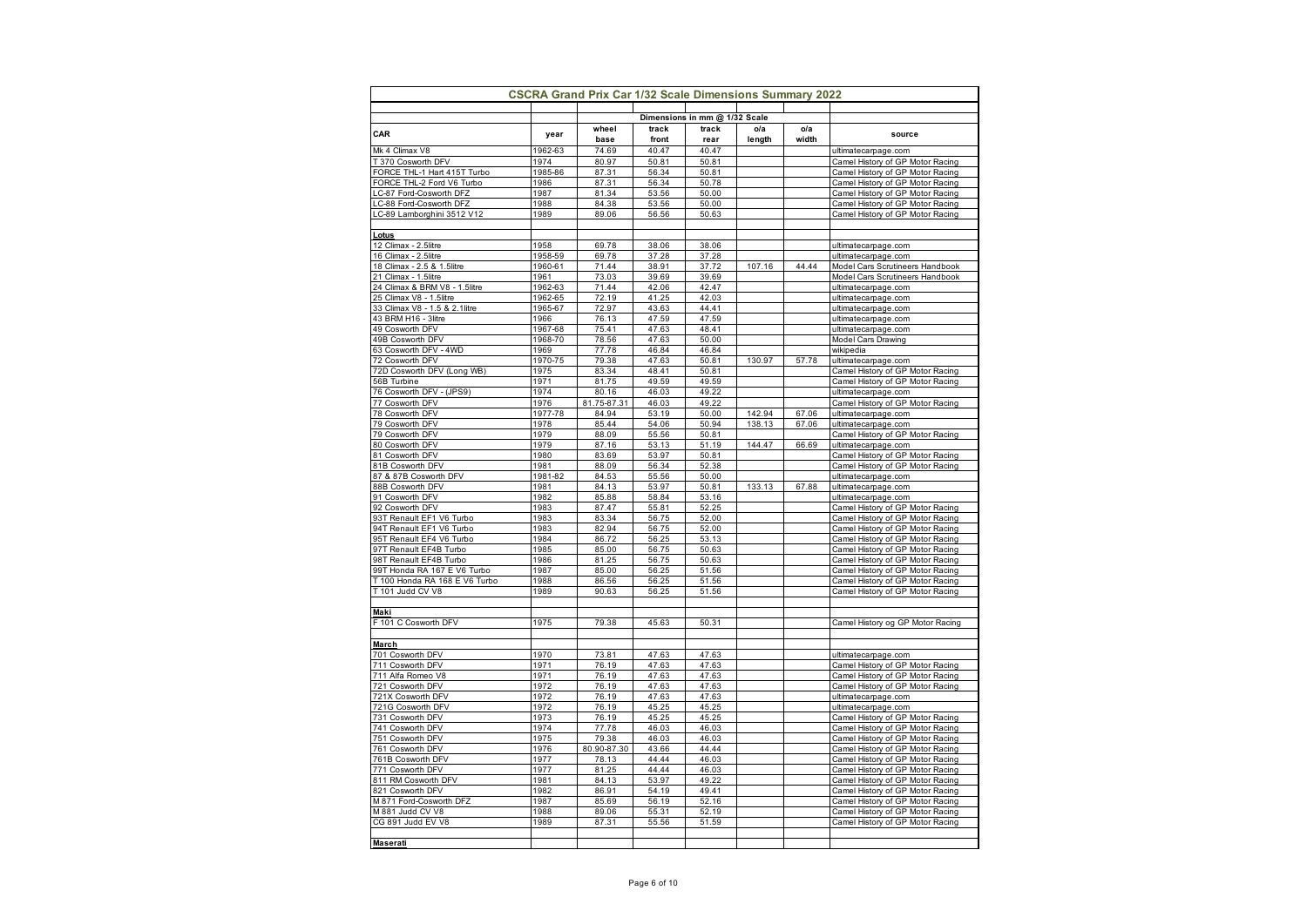| <b>CSCRA Grand Prix Car 1/32 Scale Dimensions Summary 2022</b> |                    |                |                |                               |        |       |                                                                      |  |
|----------------------------------------------------------------|--------------------|----------------|----------------|-------------------------------|--------|-------|----------------------------------------------------------------------|--|
|                                                                |                    |                |                | Dimensions in mm @ 1/32 Scale |        |       |                                                                      |  |
| CAR                                                            | year               | wheel          | track          | track                         | o/a    | o/a   | source                                                               |  |
|                                                                |                    | base           | front          | rear                          | length | width |                                                                      |  |
| Mk 4 Climax V8                                                 | 1962-63            | 74.69          | 40.47          | 40.47                         |        |       | ultimatecarpage.com                                                  |  |
| T 370 Cosworth DFV<br>FORCE THL-1 Hart 415T Turbo              | 1974<br>1985-86    | 80.97<br>87.31 | 50.81<br>56.34 | 50.81<br>50.81                |        |       | Camel History of GP Motor Racing<br>Camel History of GP Motor Racing |  |
| FORCE THL-2 Ford V6 Turbo                                      | 1986               | 87.31          | 56.34          | 50.78                         |        |       | Camel History of GP Motor Racing                                     |  |
| LC-87 Ford-Cosworth DFZ                                        | 1987               | 81.34          | 53.56          | 50.00                         |        |       | Camel History of GP Motor Racing                                     |  |
| LC-88 Ford-Cosworth DFZ                                        | 1988               | 84.38          | 53.56          | 50.00                         |        |       | Camel History of GP Motor Racing                                     |  |
| LC-89 Lamborghini 3512 V12                                     | 1989               | 89.06          | 56.56          | 50.63                         |        |       | Camel History of GP Motor Racing                                     |  |
|                                                                |                    |                |                |                               |        |       |                                                                      |  |
| Lotus                                                          |                    |                |                |                               |        |       |                                                                      |  |
| 12 Climax - 2.5litre                                           | 1958               | 69.78          | 38.06          | 38.06                         |        |       | ultimatecarpage.com                                                  |  |
| 16 Climax - 2.5litre                                           | 1958-59            | 69.78          | 37.28          | 37.28                         |        |       | ultimatecarpage.com                                                  |  |
| 18 Climax - 2.5 & 1.5litre                                     | 1960-61            | 71.44          | 38.91          | 37.72                         | 107.16 | 44.44 | Model Cars Scrutineers Handbook                                      |  |
| 21 Climax - 1.5litre<br>24 Climax & BRM V8 - 1.5litre          | 1961               | 73.03          | 39.69<br>42.06 | 39.69<br>42.47                |        |       | Model Cars Scrutineers Handbook                                      |  |
| 25 Climax V8 - 1.5litre                                        | 1962-63<br>1962-65 | 71.44<br>72.19 | 41.25          | 42.03                         |        |       | ultimatecarpage.com<br>ultimatecarpage.com                           |  |
| 33 Climax V8 - 1.5 & 2.1litre                                  | 1965-67            | 72.97          | 43.63          | 44.41                         |        |       | ultimatecarpage.com                                                  |  |
| 43 BRM H16 - 3litre                                            | 1966               | 76.13          | 47.59          | 47.59                         |        |       | ultimatecarpage.com                                                  |  |
| 49 Cosworth DFV                                                | 1967-68            | 75.41          | 47.63          | 48.41                         |        |       | ultimatecarpage.com                                                  |  |
| 49B Cosworth DFV                                               | 1968-70            | 78.56          | 47.63          | 50.00                         |        |       | Model Cars Drawing                                                   |  |
| 63 Cosworth DFV - 4WD                                          | 1969               | 77.78          | 46.84          | 46.84                         |        |       | wikipedia                                                            |  |
| 72 Cosworth DFV                                                | 1970-75            | 79.38          | 47.63          | 50.81                         | 130.97 | 57.78 | ultimatecarpage.com                                                  |  |
| 72D Cosworth DFV (Long WB)                                     | 1975               | 83.34          | 48.41          | 50.81                         |        |       | Camel History of GP Motor Racing                                     |  |
| 56B Turbine                                                    | 1971               | 81.75          | 49.59          | 49.59                         |        |       | Camel History of GP Motor Racing                                     |  |
| 76 Cosworth DFV - (JPS9)                                       | 1974               | 80.16          | 46.03          | 49.22                         |        |       | ultimatecarpage.com                                                  |  |
| 77 Cosworth DFV                                                | 1976<br>1977-78    | 81.75-87.31    | 46.03          | 49.22                         | 142.94 | 67.06 | Camel History of GP Motor Racing                                     |  |
| 78 Cosworth DFV<br>79 Cosworth DFV                             | 1978               | 84.94<br>85.44 | 53.19<br>54.06 | 50.00<br>50.94                | 138.13 | 67.06 | ultimatecarpage.com<br>ultimatecarpage.com                           |  |
| 79 Cosworth DFV                                                | 1979               | 88.09          | 55.56          | 50.81                         |        |       | Camel History of GP Motor Racing                                     |  |
| 80 Cosworth DFV                                                | 1979               | 87.16          | 53.13          | 51.19                         | 144.47 | 66.69 | ultimatecarpage.com                                                  |  |
| 81 Cosworth DFV                                                | 1980               | 83.69          | 53.97          | 50.81                         |        |       | Camel History of GP Motor Racing                                     |  |
| 81B Cosworth DFV                                               | 1981               | 88.09          | 56.34          | 52.38                         |        |       | Camel History of GP Motor Racing                                     |  |
| 87 & 87B Cosworth DFV                                          | 1981-82            | 84.53          | 55.56          | 50.00                         |        |       | ultimatecarpage.com                                                  |  |
| 88B Cosworth DFV                                               | 1981               | 84.13          | 53.97          | 50.81                         | 133.13 | 67.88 | ultimatecarpage.com                                                  |  |
| 91 Cosworth DFV                                                | 1982               | 85.88          | 58.84          | 53.16                         |        |       | ultimatecarpage.com                                                  |  |
| 92 Cosworth DFV                                                | 1983               | 87.47          | 55.81          | 52.25                         |        |       | Camel History of GP Motor Racing                                     |  |
| 93T Renault EF1 V6 Turbo                                       | 1983<br>1983       | 83.34          | 56.75          | 52.00<br>52.00                |        |       | Camel History of GP Motor Racing                                     |  |
| 94T Renault EF1 V6 Turbo<br>95T Renault EF4 V6 Turbo           | 1984               | 82.94<br>86.72 | 56.75<br>56.25 | 53.13                         |        |       | Camel History of GP Motor Racing<br>Camel History of GP Motor Racing |  |
| 97T Renault EF4B Turbo                                         | 1985               | 85.00          | 56.75          | 50.63                         |        |       | Camel History of GP Motor Racing                                     |  |
| 98T Renault EF4B Turbo                                         | 1986               | 81.25          | 56.75          | 50.63                         |        |       | Camel History of GP Motor Racing                                     |  |
| 99T Honda RA 167 E V6 Turbo                                    | 1987               | 85.00          | 56.25          | 51.56                         |        |       | Camel History of GP Motor Racing                                     |  |
| T 100 Honda RA 168 E V6 Turbo                                  | 1988               | 86.56          | 56.25          | 51.56                         |        |       | Camel History of GP Motor Racing                                     |  |
| T 101 Judd CV V8                                               | 1989               | 90.63          | 56.25          | 51.56                         |        |       | Camel History of GP Motor Racing                                     |  |
|                                                                |                    |                |                |                               |        |       |                                                                      |  |
| Maki                                                           |                    |                |                |                               |        |       |                                                                      |  |
| F 101 C Cosworth DFV                                           | 1975               | 79.38          | 45.63          | 50.31                         |        |       | Camel History og GP Motor Racing                                     |  |
| March                                                          |                    |                |                |                               |        |       |                                                                      |  |
| 701 Cosworth DFV                                               | 1970               | 73.81          | 47.63          | 47.63                         |        |       | ultimatecarpage.com                                                  |  |
| 711 Cosworth DFV                                               | 1971               | 76.19          | 47.63          | 47.63                         |        |       | Camel History of GP Motor Racing                                     |  |
| 711 Alfa Romeo V8                                              | 1971               | 76.19          | 47.63          | 47.63                         |        |       | Camel History of GP Motor Racing                                     |  |
| 721 Cosworth DFV                                               | 1972               | 76.19          | 47.63          | 47.63                         |        |       | Camel History of GP Motor Racing                                     |  |
| 721X Cosworth DFV                                              | 1972               | 76.19          | 47.63          | 47.63                         |        |       | ultimatecarpage.com                                                  |  |
| 721G Cosworth DFV                                              | 1972               | 76.19          | 45.25          | 45.25                         |        |       | ultimatecarpage.com                                                  |  |
| 731 Cosworth_DFV                                               | 1973               | 76.19          | 45.25          | 45.25                         |        |       | Camel History of GP Motor Racing                                     |  |
| 741 Cosworth DFV                                               | 1974               | 77.78          | 46.03          | 46.03                         |        |       | Camel History of GP Motor Racing                                     |  |
| 751 Cosworth DFV                                               | 1975               | 79.38          | 46.03          | 46.03                         |        |       | Camel History of GP Motor Racing                                     |  |
| 761 Cosworth DFV                                               | 1976<br>1977       | 80.90-87.30    | 43.66<br>44.44 | 44.44<br>46.03                |        |       | Camel History of GP Motor Racing                                     |  |
| 761B Cosworth DFV<br>771 Cosworth DFV                          | 1977               | 78.13<br>81.25 | 44.44          | 46.03                         |        |       | Camel History of GP Motor Racing<br>Camel History of GP Motor Racing |  |
| 811 RM Cosworth DFV                                            | 1981               | 84.13          | 53.97          | 49.22                         |        |       | Camel History of GP Motor Racing                                     |  |
| 821 Cosworth DFV                                               | 1982               | 86.91          | 54.19          | 49.41                         |        |       | Camel History of GP Motor Racing                                     |  |
| M 871 Ford-Cosworth DFZ                                        | 1987               | 85.69          | 56.19          | 52.16                         |        |       | Camel History of GP Motor Racing                                     |  |
| M 881 Judd CV V8                                               | 1988               | 89.06          | 55.31          | 52.19                         |        |       | Camel History of GP Motor Racing                                     |  |
| CG 891 Judd EV V8                                              | 1989               | 87.31          | 55.56          | 51.59                         |        |       | Camel History of GP Motor Racing                                     |  |
|                                                                |                    |                |                |                               |        |       |                                                                      |  |
| <b>Maserati</b>                                                |                    |                |                |                               |        |       |                                                                      |  |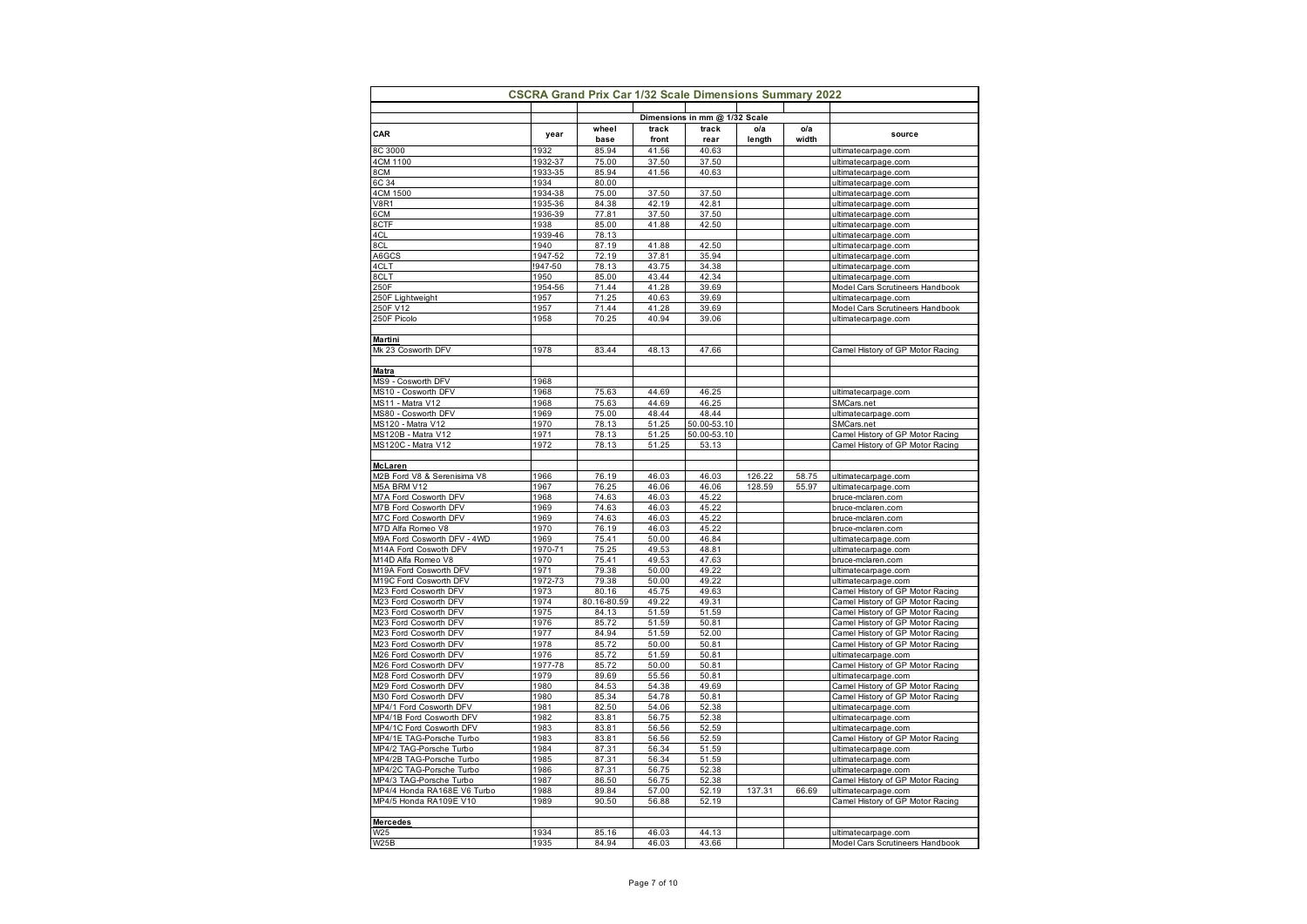|                                                       | <b>CSCRA Grand Prix Car 1/32 Scale Dimensions Summary 2022</b> |                      |                |                                        |        |       |                                                                      |
|-------------------------------------------------------|----------------------------------------------------------------|----------------------|----------------|----------------------------------------|--------|-------|----------------------------------------------------------------------|
|                                                       |                                                                |                      |                |                                        |        |       |                                                                      |
|                                                       |                                                                | wheel                | track          | Dimensions in mm @ 1/32 Scale<br>track | ola    | o/a   |                                                                      |
| CAR                                                   | year                                                           | base                 | front          | rear                                   | length | width | source                                                               |
| 8C 3000                                               | 1932                                                           | 85.94                | 41.56          | 40.63                                  |        |       | ultimatecarpage.com                                                  |
| 4CM 1100                                              | 1932-37                                                        | 75.00                | 37.50          | 37.50                                  |        |       | ultimatecarpage.com                                                  |
| 8CM                                                   | 1933-35                                                        | 85.94                | 41.56          | 40.63                                  |        |       | ultimatecarpage.com                                                  |
| 6C 34<br>4CM 1500                                     | 1934<br>1934-38                                                | 80.00<br>75.00       | 37.50          | 37.50                                  |        |       | ultimatecarpage.com<br>ultimatecarpage.com                           |
| <b>V8R1</b>                                           | 1935-36                                                        | 84.38                | 42.19          | 42.81                                  |        |       | ultimatecarpage.com                                                  |
| 6CM                                                   | 1936-39                                                        | 77.81                | 37.50          | 37.50                                  |        |       | ultimatecarpage.com                                                  |
| 8CTF                                                  | 1938                                                           | 85.00                | 41.88          | 42.50                                  |        |       | ultimatecarpage.com                                                  |
| 4CL                                                   | 1939-46                                                        | 78.13                |                |                                        |        |       | ultimatecarpage.com                                                  |
| 8CL                                                   | 1940                                                           | 87.19                | 41.88          | 42.50                                  |        |       | ultimatecarpage.com                                                  |
| A6GCS                                                 | 1947-52                                                        | 72.19                | 37.81          | 35.94                                  |        |       | ultimatecarpage.com                                                  |
| 4CLT<br>8CLT                                          | !947-50<br>1950                                                | 78.13<br>85.00       | 43.75<br>43.44 | 34.38<br>42.34                         |        |       | ultimatecarpage.com<br>ultimatecarpage.com                           |
| 250F                                                  | 1954-56                                                        | 71.44                | 41.28          | 39.69                                  |        |       | Model Cars Scrutineers Handbook                                      |
| 250F Lightweight                                      | 1957                                                           | 71.25                | 40.63          | 39.69                                  |        |       | ultimatecarpage.com                                                  |
| 250F V12                                              | 1957                                                           | 71.44                | 41.28          | 39.69                                  |        |       | Model Cars Scrutineers Handbook                                      |
| 250F Picolo                                           | 1958                                                           | 70.25                | 40.94          | 39.06                                  |        |       | ultimatecarpage.com                                                  |
|                                                       |                                                                |                      |                |                                        |        |       |                                                                      |
| <b>Martini</b>                                        |                                                                |                      |                |                                        |        |       |                                                                      |
| Mk 23 Cosworth DFV                                    | 1978                                                           | 83.44                | 48.13          | 47.66                                  |        |       | Camel History of GP Motor Racing                                     |
| <b>Matra</b>                                          |                                                                |                      |                |                                        |        |       |                                                                      |
| MS9 - Cosworth DFV                                    | 1968                                                           |                      |                |                                        |        |       |                                                                      |
| MS10 - Cosworth DFV                                   | 1968                                                           | 75.63                | 44.69          | 46.25                                  |        |       | ultimatecarpage.com                                                  |
| MS11 - Matra V12                                      | 1968                                                           | 75.63                | 44.69          | 46.25                                  |        |       | SMCars.net                                                           |
| MS80 - Cosworth DFV                                   | 1969                                                           | 75.00                | 48.44          | 48.44                                  |        |       | ultimatecarpage.com                                                  |
| MS120 - Matra V12                                     | 1970                                                           | 78.13                | 51.25          | 50.00-53.10                            |        |       | SMCars.net                                                           |
| MS120B - Matra V12<br>MS120C - Matra V12              | 1971<br>1972                                                   | 78.13<br>78.13       | 51.25<br>51.25 | 50.00-53.10<br>53.13                   |        |       | Camel History of GP Motor Racing<br>Camel History of GP Motor Racing |
|                                                       |                                                                |                      |                |                                        |        |       |                                                                      |
| McLaren                                               |                                                                |                      |                |                                        |        |       |                                                                      |
| M2B Ford V8 & Serenisima V8                           | 1966                                                           | 76.19                | 46.03          | 46.03                                  | 126.22 | 58.75 | ultimatecarpage.com                                                  |
| M5A BRM V12                                           | 1967                                                           | 76.25                | 46.06          | 46.06                                  | 128.59 | 55.97 | ultimatecarpage.com                                                  |
| M7A Ford Cosworth DFV                                 | 1968                                                           | 74.63                | 46.03          | 45.22                                  |        |       | bruce-mclaren.com                                                    |
| M7B Ford Cosworth DFV                                 | 1969                                                           | 74.63                | 46.03          | 45.22                                  |        |       | bruce-mclaren.com                                                    |
| M7C Ford Cosworth DFV<br>M7D Alfa Romeo V8            | 1969<br>1970                                                   | 74.63<br>76.19       | 46.03<br>46.03 | 45.22<br>45.22                         |        |       | bruce-mclaren.com<br>bruce-mclaren.com                               |
| M9A Ford Cosworth DFV - 4WD                           | 1969                                                           | 75.41                | 50.00          | 46.84                                  |        |       | ultimatecarpage.com                                                  |
| M14A Ford Coswoth DFV                                 | 1970-71                                                        | 75.25                | 49.53          | 48.81                                  |        |       | ultimatecarpage.com                                                  |
| M14D Alfa Romeo V8                                    | 1970                                                           | 75.41                | 49.53          | 47.63                                  |        |       | bruce-mclaren.com                                                    |
| M19A Ford Cosworth DFV                                | 1971                                                           | 79.38                | 50.00          | 49.22                                  |        |       | ultimatecarpage.com                                                  |
| M19C Ford Cosworth DFV                                | 1972-73                                                        | 79.38                | 50.00          | 49.22                                  |        |       | ultimatecarpage.com                                                  |
| M23 Ford Cosworth DFV                                 | 1973                                                           | 80.16                | 45.75          | 49.63                                  |        |       | Camel History of GP Motor Racing                                     |
| M23 Ford Cosworth DFV<br>M23 Ford Cosworth DFV        | 1974<br>1975                                                   | 80.16-80.59<br>84.13 | 49.22<br>51.59 | 49.31<br>51.59                         |        |       | Camel History of GP Motor Racing<br>Camel History of GP Motor Racing |
| M23 Ford Cosworth DFV                                 | 1976                                                           | 85.72                | 51.59          | 50.81                                  |        |       | Camel History of GP Motor Racing                                     |
| M23 Ford Cosworth DFV                                 | 1977                                                           | 84.94                | 51.59          | 52.00                                  |        |       | Camel History of GP Motor Racing                                     |
| M23 Ford Cosworth DFV                                 | 1978                                                           | 85.72                | 50.00          | 50.81                                  |        |       | Camel History of GP Motor Racing                                     |
| M26 Ford Cosworth DFV                                 | 1976                                                           | 85.72                | 51.59          | 50.81                                  |        |       | ultimatecarpage.com                                                  |
| M26 Ford Cosworth DFV                                 | 1977-78                                                        | 85.72                | 50.00          | 50.81                                  |        |       | Camel History of GP Motor Racing                                     |
| M28 Ford Cosworth DFV                                 | 1979                                                           | 89.69                | 55.56          | 50.81                                  |        |       | ultimatecarpage.com                                                  |
| M29 Ford Cosworth DFV                                 | 1980                                                           | 84.53                | 54.38          | 49.69                                  |        |       | Camel History of GP Motor Racing                                     |
| M30 Ford Cosworth DFV<br>MP4/1 Ford Cosworth DFV      | 1980<br>1981                                                   | 85.34<br>82.50       | 54.78<br>54.06 | 50.81<br>52.38                         |        |       | Camel History of GP Motor Racing<br>ultimatecarpage.com              |
| MP4/1B Ford Cosworth DFV                              | 1982                                                           | 83.81                | 56.75          | 52.38                                  |        |       | ultimatecarpage.com                                                  |
| MP4/1C Ford Cosworth DFV                              | 1983                                                           | 83.81                | 56.56          | 52.59                                  |        |       | ultimatecarpage.com                                                  |
| MP4/1E TAG-Porsche Turbo                              | 1983                                                           | 83.81                | 56.56          | 52.59                                  |        |       | Camel History of GP Motor Racing                                     |
| MP4/2 TAG-Porsche Turbo                               | 1984                                                           | 87.31                | 56.34          | 51.59                                  |        |       | ultimatecarpage.com                                                  |
| MP4/2B TAG-Porsche Turbo                              | 1985                                                           | 87.31                | 56.34          | 51.59                                  |        |       | ultimatecarpage.com                                                  |
| MP4/2C TAG-Porsche Turbo                              | 1986                                                           | 87.31                | 56.75          | 52.38                                  |        |       | ultimatecarpage.com                                                  |
| MP4/3 TAG-Porsche Turbo                               | 1987<br>1988                                                   | 86.50<br>89.84       | 56.75<br>57.00 | 52.38<br>52.19                         | 137.31 | 66.69 | Camel History of GP Motor Racing                                     |
| MP4/4 Honda RA168E V6 Turbo<br>MP4/5 Honda RA109E V10 | 1989                                                           | 90.50                | 56.88          | 52.19                                  |        |       | ultimatecarpage.com<br>Camel History of GP Motor Racing              |
|                                                       |                                                                |                      |                |                                        |        |       |                                                                      |
| <b>Mercedes</b>                                       |                                                                |                      |                |                                        |        |       |                                                                      |
| W25                                                   | 1934                                                           | 85.16                | 46.03          | 44.13                                  |        |       | ultimatecarpage.com                                                  |
| W25B                                                  | 1935                                                           | 84.94                | 46.03          | 43.66                                  |        |       | Model Cars Scrutineers Handbook                                      |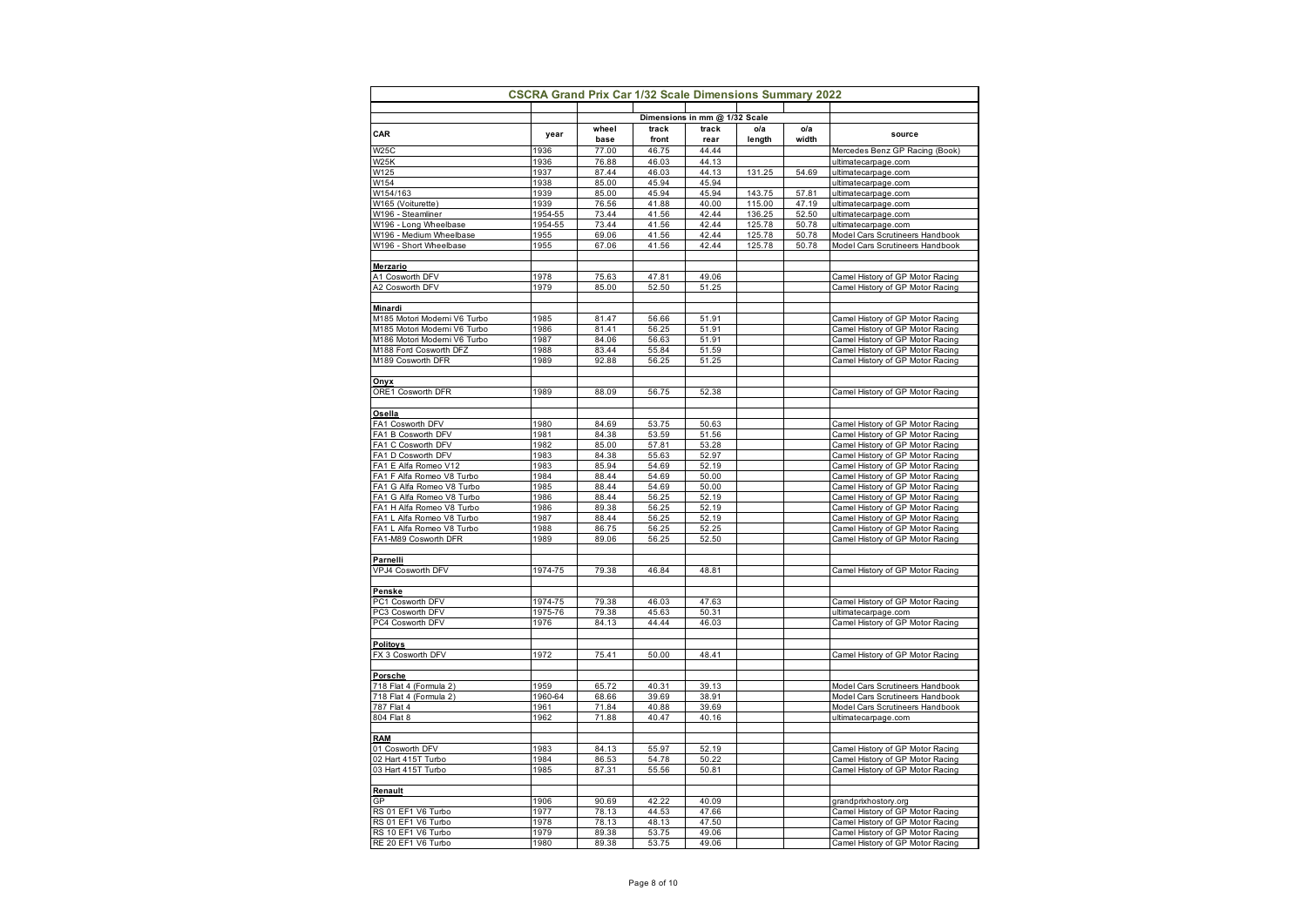|                                                        | <b>CSCRA Grand Prix Car 1/32 Scale Dimensions Summary 2022</b> |                |                |                               |                  |                |                                                                      |
|--------------------------------------------------------|----------------------------------------------------------------|----------------|----------------|-------------------------------|------------------|----------------|----------------------------------------------------------------------|
|                                                        |                                                                |                |                | Dimensions in mm @ 1/32 Scale |                  |                |                                                                      |
| CAR                                                    |                                                                | wheel          | track          | track                         | o/a              | o/a            |                                                                      |
|                                                        | year                                                           | base           | front          | rear                          | length           | width          | source                                                               |
| <b>W25C</b>                                            | 1936                                                           | 77.00          | 46.75          | 44.44                         |                  |                | Mercedes Benz GP Racing (Book)                                       |
| W <sub>25</sub> K                                      | 1936                                                           | 76.88          | 46.03          | 44.13                         |                  |                | ultimatecarpage.com                                                  |
| W125                                                   | 1937                                                           | 87.44          | 46.03          | 44.13                         | 131.25           | 54.69          | ultimatecarpage.com                                                  |
| W154                                                   | 1938                                                           | 85.00          | 45.94          | 45.94                         |                  |                | ultimatecarpage.com                                                  |
| W154/163<br>W165 (Voiturette)                          | 1939<br>1939                                                   | 85.00<br>76.56 | 45.94<br>41.88 | 45.94<br>40.00                | 143.75<br>115.00 | 57.81<br>47.19 | ultimatecarpage.com                                                  |
| W196 - Steamliner                                      | 1954-55                                                        | 73.44          | 41.56          | 42.44                         | 136.25           | 52.50          | ultimatecarpage.com<br>ultimatecarpage.com                           |
| W196 - Long Wheelbase                                  | 1954-55                                                        | 73.44          | 41.56          | 42.44                         | 125.78           | 50.78          | ultimatecarpage.com                                                  |
| W196 - Medium Wheelbase                                | 1955                                                           | 69.06          | 41.56          | 42.44                         | 125.78           | 50.78          | Model Cars Scrutineers Handbook                                      |
| W196 - Short Wheelbase                                 | 1955                                                           | 67.06          | 41.56          | 42.44                         | 125.78           | 50.78          | Model Cars Scrutineers Handbook                                      |
|                                                        |                                                                |                |                |                               |                  |                |                                                                      |
| <b>Merzario</b>                                        |                                                                |                |                |                               |                  |                |                                                                      |
| A1 Cosworth DFV                                        | 1978                                                           | 75.63          | 47.81          | 49.06                         |                  |                | Camel History of GP Motor Racing                                     |
| A2 Cosworth DFV                                        | 1979                                                           | 85.00          | 52.50          | 51.25                         |                  |                | Camel History of GP Motor Racing                                     |
|                                                        |                                                                |                |                |                               |                  |                |                                                                      |
| Minardi                                                |                                                                |                |                |                               |                  |                |                                                                      |
| M185 Motori Moderni V6 Turbo                           | 1985                                                           | 81.47          | 56.66          | 51.91                         |                  |                | Camel History of GP Motor Racing                                     |
| M185 Motori Moderni V6 Turbo                           | 1986                                                           | 81.41          | 56.25          | 51.91                         |                  |                | Camel History of GP Motor Racing                                     |
| M186 Motori Moderni V6 Turbo                           | 1987                                                           | 84.06<br>83.44 | 56.63          | 51.91<br>51.59                |                  |                | Camel History of GP Motor Racing                                     |
| M188 Ford Cosworth DFZ<br>M189 Cosworth DFR            | 1988<br>1989                                                   | 92.88          | 55.84<br>56.25 | 51.25                         |                  |                | Camel History of GP Motor Racing<br>Camel History of GP Motor Racing |
|                                                        |                                                                |                |                |                               |                  |                |                                                                      |
| Onyx                                                   |                                                                |                |                |                               |                  |                |                                                                      |
| ORE1 Cosworth DFR                                      | 1989                                                           | 88.09          | 56.75          | 52.38                         |                  |                | Camel History of GP Motor Racing                                     |
|                                                        |                                                                |                |                |                               |                  |                |                                                                      |
| Osella                                                 |                                                                |                |                |                               |                  |                |                                                                      |
| FA1 Cosworth DFV                                       | 1980                                                           | 84.69          | 53.75          | 50.63                         |                  |                | Camel History of GP Motor Racing                                     |
| FA1 B Cosworth DFV                                     | 1981                                                           | 84.38          | 53.59          | 51.56                         |                  |                | Camel History of GP Motor Racing                                     |
| FA1 C Cosworth DFV                                     | 1982                                                           | 85.00          | 57.81          | 53.28                         |                  |                | Camel History of GP Motor Racing                                     |
| FA1 D Cosworth DFV                                     | 1983                                                           | 84.38          | 55.63          | 52.97                         |                  |                | Camel History of GP Motor Racing                                     |
| FA1 E Alfa Romeo V12                                   | 1983                                                           | 85.94          | 54.69          | 52.19                         |                  |                | Camel History of GP Motor Racing                                     |
| FA1 F Alfa Romeo V8 Turbo                              | 1984                                                           | 88.44          | 54.69          | 50.00                         |                  |                | Camel History of GP Motor Racing                                     |
| FA1 G Alfa Romeo V8 Turbo                              | 1985                                                           | 88.44          | 54.69<br>56.25 | 50.00                         |                  |                | Camel History of GP Motor Racing                                     |
| FA1 G Alfa Romeo V8 Turbo<br>FA1 H Alfa Romeo V8 Turbo | 1986<br>1986                                                   | 88.44<br>89.38 | 56.25          | 52.19<br>52.19                |                  |                | Camel History of GP Motor Racing<br>Camel History of GP Motor Racing |
| FA1 L Alfa Romeo V8 Turbo                              | 1987                                                           | 88.44          | 56.25          | 52.19                         |                  |                | Camel History of GP Motor Racing                                     |
| FA1 L Alfa Romeo V8 Turbo                              | 1988                                                           | 86.75          | 56.25          | 52.25                         |                  |                | Camel History of GP Motor Racing                                     |
| FA1-M89 Cosworth DFR                                   | 1989                                                           | 89.06          | 56.25          | 52.50                         |                  |                | Camel History of GP Motor Racing                                     |
|                                                        |                                                                |                |                |                               |                  |                |                                                                      |
| Parnelli                                               |                                                                |                |                |                               |                  |                |                                                                      |
| VPJ4 Cosworth DFV                                      | 1974-75                                                        | 79.38          | 46.84          | 48.81                         |                  |                | Camel History of GP Motor Racing                                     |
|                                                        |                                                                |                |                |                               |                  |                |                                                                      |
| Penske                                                 |                                                                |                |                |                               |                  |                |                                                                      |
| PC1 Cosworth DFV                                       | 1974-75                                                        | 79.38          | 46.03          | 47.63                         |                  |                | Camel History of GP Motor Racing                                     |
| PC3 Cosworth DFV                                       | 1975-76                                                        | 79.38          | 45.63          | 50.31                         |                  |                | ultimatecarpage.com                                                  |
| PC4 Cosworth DFV                                       | 1976                                                           | 84.13          | 44.44          | 46.03                         |                  |                | Camel History of GP Motor Racing                                     |
|                                                        |                                                                |                |                |                               |                  |                |                                                                      |
| Politoys<br>FX 3 Cosworth DFV                          | 1972                                                           | 75.41          | 50.00          | 48.41                         |                  |                | Camel History of GP Motor Racing                                     |
|                                                        |                                                                |                |                |                               |                  |                |                                                                      |
| Porsche                                                |                                                                |                |                |                               |                  |                |                                                                      |
| 718 Flat 4 (Formula 2)                                 | 1959                                                           | 65.72          | 40.31          | 39.13                         |                  |                | Model Cars Scrutineers Handbook                                      |
| 718 Flat 4 (Formula 2)                                 | 1960-64                                                        | 68.66          | 39.69          | 38.91                         |                  |                | Model Cars Scrutineers Handbook                                      |
| 787 Flat 4                                             | 1961                                                           | 71.84          | 40.88          | 39.69                         |                  |                | Model Cars Scrutineers Handbook                                      |
| 804 Flat 8                                             | 1962                                                           | 71.88          | 40.47          | 40.16                         |                  |                | ultimatecarpage.com                                                  |
|                                                        |                                                                |                |                |                               |                  |                |                                                                      |
| <b>RAM</b>                                             |                                                                |                |                |                               |                  |                |                                                                      |
| 01 Cosworth DFV                                        | 1983                                                           | 84.13          | 55.97          | 52.19                         |                  |                | Camel History of GP Motor Racing                                     |
| 02 Hart 415T Turbo                                     | 1984                                                           | 86.53          | 54.78          | 50.22                         |                  |                | Camel History of GP Motor Racing                                     |
| 03 Hart 415T Turbo                                     | 1985                                                           | 87.31          | 55.56          | 50.81                         |                  |                | Camel History of GP Motor Racing                                     |
|                                                        |                                                                |                |                |                               |                  |                |                                                                      |
| Renault                                                |                                                                |                |                |                               |                  |                |                                                                      |
| GP<br>RS 01 EF1 V6 Turbo                               | 1906<br>1977                                                   | 90.69<br>78.13 | 42.22<br>44.53 | 40.09<br>47.66                |                  |                | grandprixhostory.org                                                 |
| RS 01 EF1 V6 Turbo                                     | 1978                                                           | 78.13          | 48.13          | 47.50                         |                  |                | Camel History of GP Motor Racing<br>Camel History of GP Motor Racing |
| RS 10 EF1 V6 Turbo                                     | 1979                                                           | 89.38          | 53.75          | 49.06                         |                  |                | Camel History of GP Motor Racing                                     |
| RE 20 EF1 V6 Turbo                                     | 1980                                                           | 89.38          | 53.75          | 49.06                         |                  |                | Camel History of GP Motor Racing                                     |
|                                                        |                                                                |                |                |                               |                  |                |                                                                      |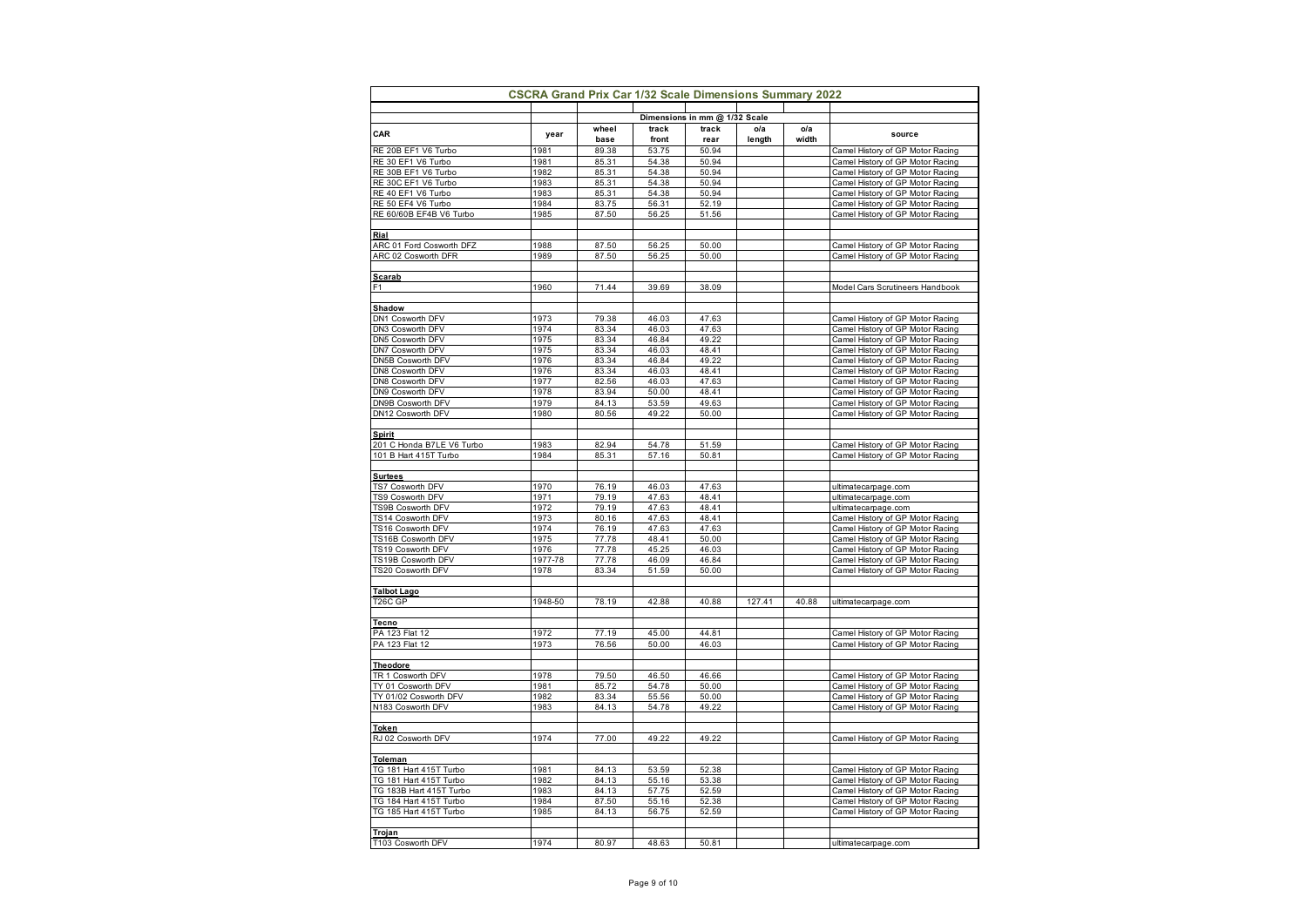|                                 |         |               |                | Dimensions in mm @ 1/32 Scale |               |              |                                  |
|---------------------------------|---------|---------------|----------------|-------------------------------|---------------|--------------|----------------------------------|
| CAR                             | year    | wheel<br>base | track<br>front | track<br>rear                 | o/a<br>length | o/a<br>width | source                           |
| RE 20B EF1 V6 Turbo             | 1981    | 89.38         | 53.75          | 50.94                         |               |              | Camel History of GP Motor Racing |
| RE 30 EF1 V6 Turbo              | 1981    | 85.31         | 54.38          | 50.94                         |               |              | Camel History of GP Motor Racing |
| RE 30B EF1 V6 Turbo             | 1982    | 85.31         | 54.38          | 50.94                         |               |              | Camel History of GP Motor Racing |
| RE 30C EF1 V6 Turbo             | 1983    | 85.31         | 54.38          | 50.94                         |               |              | Camel History of GP Motor Racing |
| RE 40 EF1 V6 Turbo              | 1983    | 85.31         | 54.38          | 50.94                         |               |              | Camel History of GP Motor Racing |
| RE 50 EF4 V6 Turbo              | 1984    | 83.75         | 56.31          | 52.19                         |               |              | Camel History of GP Motor Racing |
| RE 60/60B EF4B V6 Turbo         | 1985    | 87.50         | 56.25          | 51.56                         |               |              | Camel History of GP Motor Racing |
|                                 |         |               |                |                               |               |              |                                  |
| Rial                            |         |               |                |                               |               |              |                                  |
| ARC 01 Ford Cosworth DFZ        | 1988    | 87.50         | 56.25          | 50.00                         |               |              | Camel History of GP Motor Racing |
| ARC 02 Cosworth DFR             | 1989    | 87.50         | 56.25          | 50.00                         |               |              | Camel History of GP Motor Racing |
|                                 |         |               |                |                               |               |              |                                  |
| <u>Scarab</u>                   | 1960    | 71.44         |                | 38.09                         |               |              |                                  |
| F1                              |         |               | 39.69          |                               |               |              | Model Cars Scrutineers Handbook  |
| Shadow                          |         |               |                |                               |               |              |                                  |
| DN1 Cosworth DFV                | 1973    | 79.38         | 46.03          | 47.63                         |               |              | Camel History of GP Motor Racing |
| DN3 Cosworth DFV                | 1974    | 83.34         | 46.03          | 47.63                         |               |              | Camel History of GP Motor Racing |
| DN5 Cosworth DFV                | 1975    | 83.34         | 46.84          | 49.22                         |               |              | Camel History of GP Motor Racing |
| DN7 Cosworth DFV                | 1975    | 83.34         | 46.03          | 48.41                         |               |              | Camel History of GP Motor Racing |
| DN5B Cosworth DFV               | 1976    | 83.34         | 46.84          | 49.22                         |               |              | Camel History of GP Motor Racing |
| DN8 Cosworth DFV                | 1976    | 83.34         | 46.03          | 48.41                         |               |              | Camel History of GP Motor Racing |
| DN8 Cosworth DFV                | 1977    | 82.56         | 46.03          | 47.63                         |               |              | Camel History of GP Motor Racing |
| DN9 Cosworth DFV                | 1978    | 83.94         | 50.00          | 48.41                         |               |              | Camel History of GP Motor Racing |
| DN9B Cosworth DFV               | 1979    | 84.13         | 53.59          | 49.63                         |               |              | Camel History of GP Motor Racing |
| DN12 Cosworth DFV               | 1980    | 80.56         | 49.22          | 50.00                         |               |              | Camel History of GP Motor Racing |
|                                 |         |               |                |                               |               |              |                                  |
| <u>Spirit</u>                   |         |               |                |                               |               |              |                                  |
| 201 C Honda B7LE V6 Turbo       | 1983    | 82.94         | 54.78          | 51.59                         |               |              | Camel History of GP Motor Racing |
| 101 B Hart 415T Turbo           | 1984    | 85.31         | 57.16          | 50.81                         |               |              | Camel History of GP Motor Racing |
|                                 |         |               |                |                               |               |              |                                  |
| <b>Surtees</b>                  |         |               |                |                               |               |              |                                  |
| TS7 Cosworth DFV                | 1970    | 76.19         | 46.03          | 47.63                         |               |              | ultimatecarpage.com              |
| TS9 Cosworth DFV                | 1971    | 79.19         | 47.63          | 48.41                         |               |              | ultimatecarpage.com              |
| TS9B Cosworth DFV               | 1972    | 79.19         | 47.63          | 48.41                         |               |              | ultimatecarpage.com              |
| TS14 Cosworth DFV               | 1973    | 80.16         | 47.63          | 48.41                         |               |              | Camel History of GP Motor Racing |
| TS16 Cosworth DFV               | 1974    | 76.19         | 47.63          | 47.63                         |               |              | Camel History of GP Motor Racing |
| TS16B Cosworth DFV              | 1975    | 77.78         | 48.41          | 50.00                         |               |              | Camel History of GP Motor Racing |
| TS19 Cosworth DFV               | 1976    | 77.78         | 45.25          | 46.03                         |               |              | Camel History of GP Motor Racing |
| TS19B Cosworth DFV              | 1977-78 | 77.78         | 46.09          | 46.84                         |               |              | Camel History of GP Motor Racing |
| TS20 Cosworth DFV               | 1978    | 83.34         | 51.59          | 50.00                         |               |              | Camel History of GP Motor Racing |
|                                 |         |               |                |                               |               |              |                                  |
| <b>Talbot Lago</b>              |         |               |                |                               |               |              |                                  |
| T <sub>26</sub> C <sub>GP</sub> | 1948-50 | 78.19         | 42.88          | 40.88                         | 127.41        | 40.88        | ultimatecarpage.com              |
|                                 |         |               |                |                               |               |              |                                  |
| Tecno                           |         |               |                |                               |               |              |                                  |
| PA 123 Flat 12                  | 1972    | 77.19         | 45.00          | 44.81                         |               |              | Camel History of GP Motor Racing |
| PA 123 Flat 12                  | 1973    | 76.56         | 50.00          | 46.03                         |               |              | Camel History of GP Motor Racing |
|                                 |         |               |                |                               |               |              |                                  |
| <b>Theodore</b>                 |         |               |                |                               |               |              |                                  |
| TR 1 Cosworth DFV               | 1978    | 79.50         | 46.50          | 46.66                         |               |              | Camel History of GP Motor Racing |
| TY 01 Cosworth DFV              | 1981    | 85.72         | 54.78          | 50.00                         |               |              | Camel History of GP Motor Racing |
| TY 01/02 Cosworth DFV           | 1982    | 83.34         | 55.56          | 50.00                         |               |              | Camel History of GP Motor Racing |
| N183 Cosworth DFV               | 1983    | 84.13         | 54.78          | 49.22                         |               |              | Camel History of GP Motor Racing |
|                                 |         |               |                |                               |               |              |                                  |
| Token                           |         |               |                |                               |               |              |                                  |
| RJ 02 Cosworth DFV              | 1974    | 77.00         | 49.22          | 49.22                         |               |              | Camel History of GP Motor Racing |
|                                 |         |               |                |                               |               |              |                                  |
| Toleman                         |         |               |                |                               |               |              |                                  |
| TG 181 Hart 415T Turbo          | 1981    | 84.13         | 53.59          | 52.38                         |               |              | Camel History of GP Motor Racing |
| TG 181 Hart 415T Turbo          | 1982    | 84.13         | 55.16          | 53.38                         |               |              | Camel History of GP Motor Racing |
| TG 183B Hart 415T Turbo         | 1983    | 84.13         | 57.75          | 52.59                         |               |              | Camel History of GP Motor Racing |
| TG 184 Hart 415T Turbo          | 1984    | 87.50         | 55.16          | 52.38                         |               |              | Camel History of GP Motor Racing |
| TG 185 Hart 415T Turbo          | 1985    | 84.13         | 56.75          | 52.59                         |               |              | Camel History of GP Motor Racing |
|                                 |         |               |                |                               |               |              |                                  |
| Trojan                          |         |               |                |                               |               |              |                                  |
| T103 Cosworth DFV               | 1974    | 80.97         | 48.63          | 50.81                         |               |              | ultimatecarpage.com              |